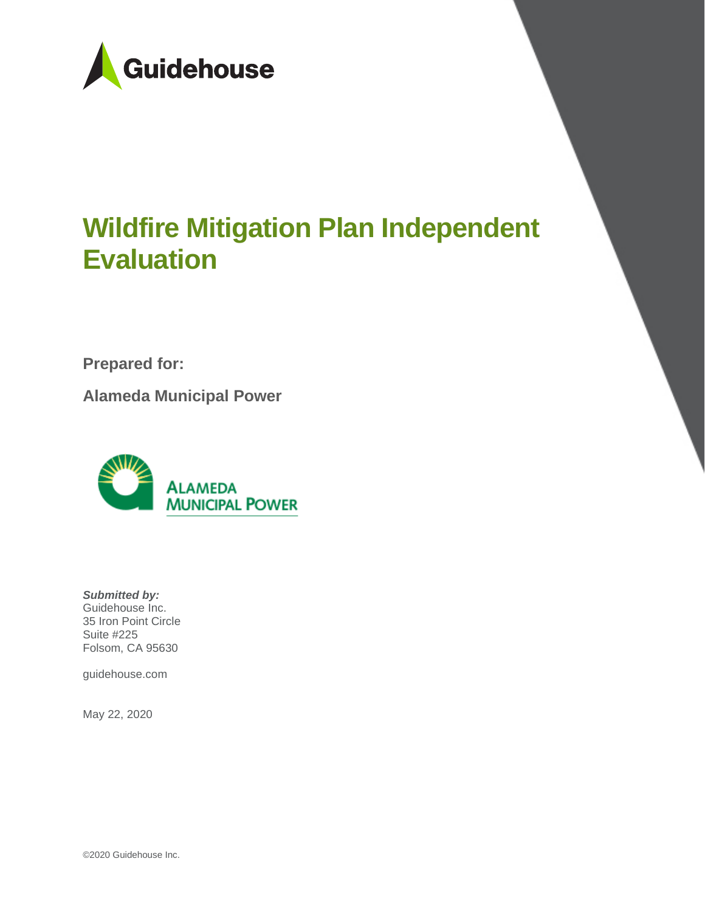

# **Wildfire Mitigation Plan Independent Evaluation**

**Prepared for:**

**Alameda Municipal Power**



*Submitted by:* Guidehouse Inc. 35 Iron Point Circle Suite #225 Folsom, CA 95630

guidehouse.com

May 22, 2020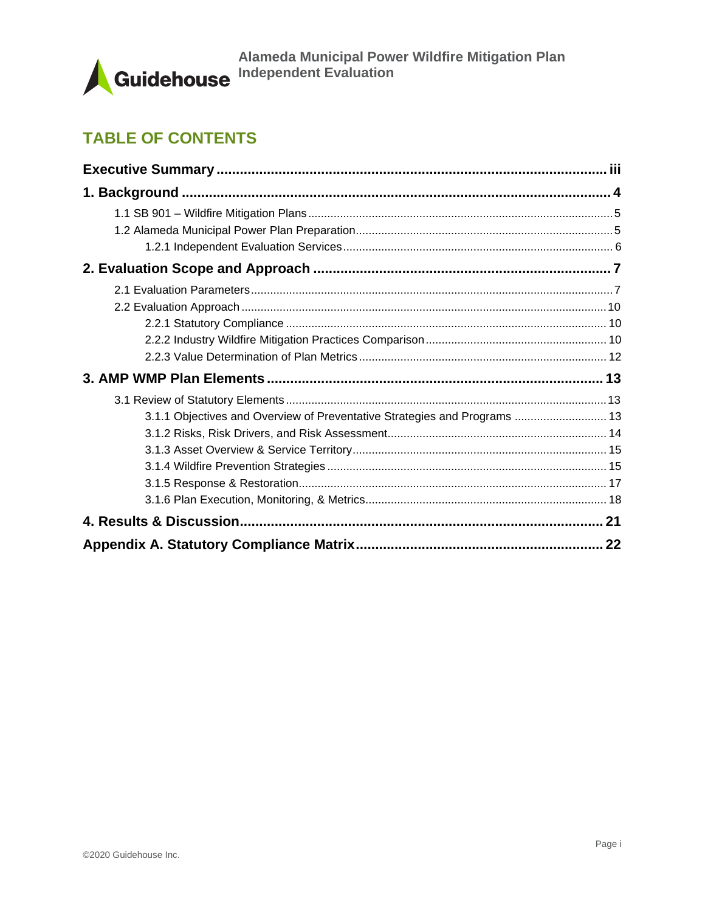

# **TABLE OF CONTENTS**

| 3.1.1 Objectives and Overview of Preventative Strategies and Programs  13 |  |
|---------------------------------------------------------------------------|--|
|                                                                           |  |
|                                                                           |  |
|                                                                           |  |
|                                                                           |  |
|                                                                           |  |
|                                                                           |  |
|                                                                           |  |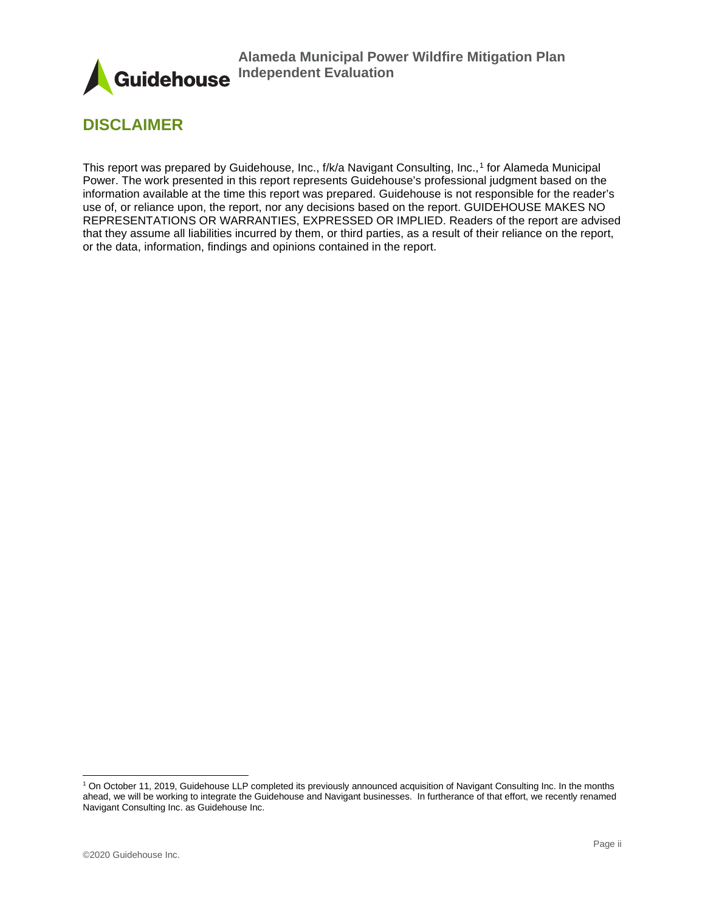

# **DISCLAIMER**

This report was prepared by Guidehouse, Inc., f/k/a Navigant Consulting, Inc.,[1](#page-2-0) for Alameda Municipal Power. The work presented in this report represents Guidehouse's professional judgment based on the information available at the time this report was prepared. Guidehouse is not responsible for the reader's use of, or reliance upon, the report, nor any decisions based on the report. GUIDEHOUSE MAKES NO REPRESENTATIONS OR WARRANTIES, EXPRESSED OR IMPLIED. Readers of the report are advised that they assume all liabilities incurred by them, or third parties, as a result of their reliance on the report, or the data, information, findings and opinions contained in the report.

<span id="page-2-0"></span><sup>1</sup> On October 11, 2019, Guidehouse LLP completed its previously announced acquisition of Navigant Consulting Inc. In the months ahead, we will be working to integrate the Guidehouse and Navigant businesses. In furtherance of that effort, we recently renamed Navigant Consulting Inc. as Guidehouse Inc.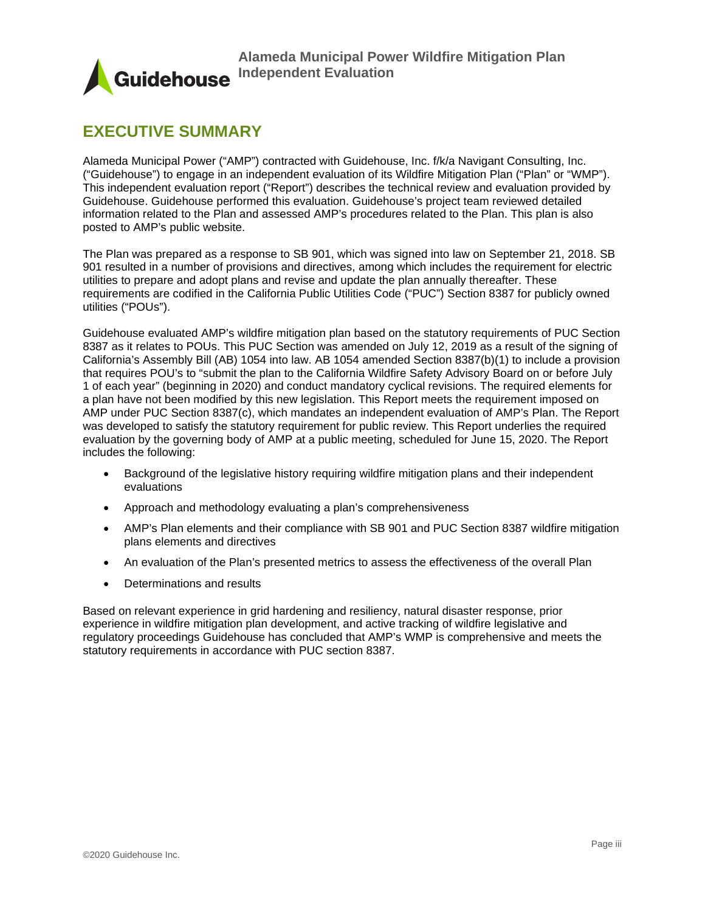

# <span id="page-3-0"></span>**EXECUTIVE SUMMARY**

Alameda Municipal Power ("AMP") contracted with Guidehouse, Inc. f/k/a Navigant Consulting, Inc. ("Guidehouse") to engage in an independent evaluation of its Wildfire Mitigation Plan ("Plan" or "WMP"). This independent evaluation report ("Report") describes the technical review and evaluation provided by Guidehouse. Guidehouse performed this evaluation. Guidehouse's project team reviewed detailed information related to the Plan and assessed AMP's procedures related to the Plan. This plan is also posted to AMP's public website.

The Plan was prepared as a response to SB 901, which was signed into law on September 21, 2018. SB 901 resulted in a number of provisions and directives, among which includes the requirement for electric utilities to prepare and adopt plans and revise and update the plan annually thereafter. These requirements are codified in the California Public Utilities Code ("PUC") Section 8387 for publicly owned utilities ("POUs").

Guidehouse evaluated AMP's wildfire mitigation plan based on the statutory requirements of PUC Section 8387 as it relates to POUs. This PUC Section was amended on July 12, 2019 as a result of the signing of California's Assembly Bill (AB) 1054 into law. AB 1054 amended Section 8387(b)(1) to include a provision that requires POU's to "submit the plan to the California Wildfire Safety Advisory Board on or before July 1 of each year" (beginning in 2020) and conduct mandatory cyclical revisions. The required elements for a plan have not been modified by this new legislation. This Report meets the requirement imposed on AMP under PUC Section 8387(c), which mandates an independent evaluation of AMP's Plan. The Report was developed to satisfy the statutory requirement for public review. This Report underlies the required evaluation by the governing body of AMP at a public meeting, scheduled for June 15, 2020. The Report includes the following:

- Background of the legislative history requiring wildfire mitigation plans and their independent evaluations
- Approach and methodology evaluating a plan's comprehensiveness
- AMP's Plan elements and their compliance with SB 901 and PUC Section 8387 wildfire mitigation plans elements and directives
- An evaluation of the Plan's presented metrics to assess the effectiveness of the overall Plan
- Determinations and results

Based on relevant experience in grid hardening and resiliency, natural disaster response, prior experience in wildfire mitigation plan development, and active tracking of wildfire legislative and regulatory proceedings Guidehouse has concluded that AMP's WMP is comprehensive and meets the statutory requirements in accordance with PUC section 8387.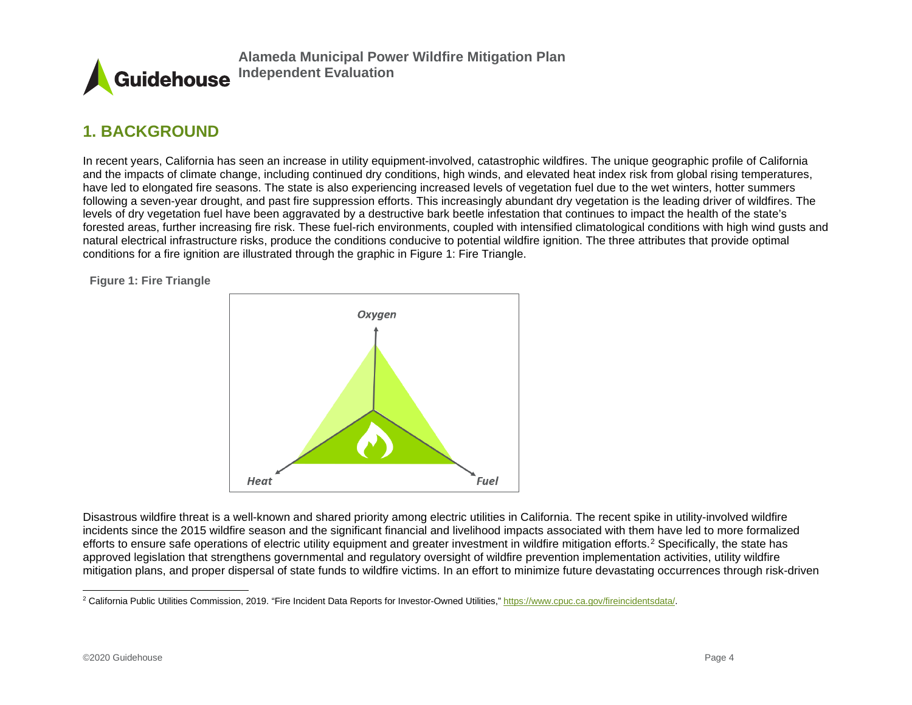<span id="page-4-2"></span>

# **1. BACKGROUND**

In recent years, California has seen an increase in utility equipment-involved, catastrophic wildfires. The unique geographic profile of California and the impacts of climate change, including continued dry conditions, high winds, and elevated heat index risk from global rising temperatures, have led to elongated fire seasons. The state is also experiencing increased levels of vegetation fuel due to the wet winters, hotter summers following a seven-year drought, and past fire suppression efforts. This increasingly abundant dry vegetation is the leading driver of wildfires. The levels of dry vegetation fuel have been aggravated by a destructive bark beetle infestation that continues to impact the health of the state's forested areas, further increasing fire risk. These fuel-rich environments, coupled with intensified climatological conditions with high wind gusts and natural electrical infrastructure risks, produce the conditions conducive to potential wildfire ignition. The three attributes that provide optimal conditions for a fire ignition are illustrated through the graphic in [Figure 1: Fire Triangle.](#page-4-1)

<span id="page-4-1"></span><span id="page-4-0"></span>**Figure 1: Fire Triangle**



Disastrous wildfire threat is a well-known and shared priority among electric utilities in California. The recent spike in utility-involved wildfire incidents since the 2015 wildfire season and the significant financial and livelihood impacts associated with them have led to more formalized efforts to ensure safe operations of electric utility equipment and greater investment in wildfire mitigation efforts.[2](#page-4-2) Specifically, the state has approved legislation that strengthens governmental and regulatory oversight of wildfire prevention implementation activities, utility wildfire mitigation plans, and proper dispersal of state funds to wildfire victims. In an effort to minimize future devastating occurrences through risk-driven

<sup>&</sup>lt;sup>2</sup> California Public Utilities Commission, 2019. "Fire Incident Data Reports for Investor-Owned Utilities,[" https://www.cpuc.ca.gov/fireincidentsdata/.](https://www.cpuc.ca.gov/fireincidentsdata/)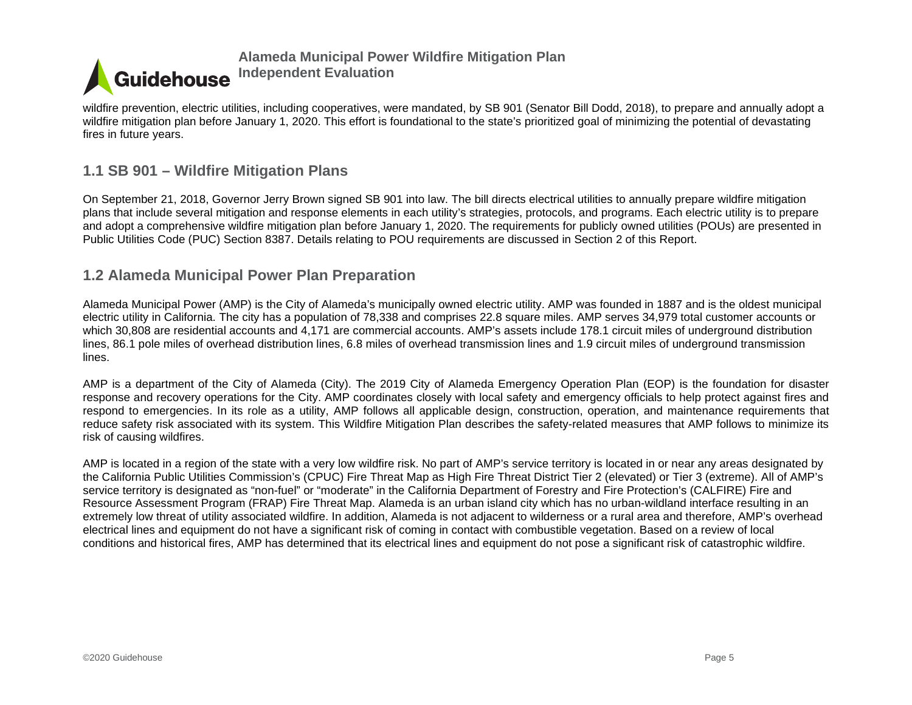

wildfire prevention, electric utilities, including cooperatives, were mandated, by SB 901 (Senator Bill Dodd, 2018), to prepare and annually adopt a wildfire mitigation plan before January 1, 2020. This effort is foundational to the state's prioritized goal of minimizing the potential of devastating fires in future years.

# **1.1 SB 901 – Wildfire Mitigation Plans**

On September 21, 2018, Governor Jerry Brown signed SB 901 into law. The bill directs electrical utilities to annually prepare wildfire mitigation plans that include several mitigation and response elements in each utility's strategies, protocols, and programs. Each electric utility is to prepare and adopt a comprehensive wildfire mitigation plan before January 1, 2020. The requirements for publicly owned utilities (POUs) are presented in Public Utilities Code (PUC) Section 8387. Details relating to POU requirements are discussed in Section 2 of this Report.

# **1.2 Alameda Municipal Power Plan Preparation**

Alameda Municipal Power (AMP) is the City of Alameda's municipally owned electric utility. AMP was founded in 1887 and is the oldest municipal electric utility in California. The city has a population of 78,338 and comprises 22.8 square miles. AMP serves 34,979 total customer accounts or which 30,808 are residential accounts and 4,171 are commercial accounts. AMP's assets include 178.1 circuit miles of underground distribution lines, 86.1 pole miles of overhead distribution lines, 6.8 miles of overhead transmission lines and 1.9 circuit miles of underground transmission lines.

<span id="page-5-0"></span>AMP is a department of the City of Alameda (City). The 2019 City of Alameda Emergency Operation Plan (EOP) is the foundation for disaster response and recovery operations for the City. AMP coordinates closely with local safety and emergency officials to help protect against fires and respond to emergencies. In its role as a utility, AMP follows all applicable design, construction, operation, and maintenance requirements that reduce safety risk associated with its system. This Wildfire Mitigation Plan describes the safety-related measures that AMP follows to minimize its risk of causing wildfires.

<span id="page-5-1"></span>AMP is located in a region of the state with a very low wildfire risk. No part of AMP's service territory is located in or near any areas designated by the California Public Utilities Commission's (CPUC) Fire Threat Map as High Fire Threat District Tier 2 (elevated) or Tier 3 (extreme). All of AMP's service territory is designated as "non-fuel" or "moderate" in the California Department of Forestry and Fire Protection's (CALFIRE) Fire and Resource Assessment Program (FRAP) Fire Threat Map. Alameda is an urban island city which has no urban-wildland interface resulting in an extremely low threat of utility associated wildfire. In addition, Alameda is not adjacent to wilderness or a rural area and therefore, AMP's overhead electrical lines and equipment do not have a significant risk of coming in contact with combustible vegetation. Based on a review of local conditions and historical fires, AMP has determined that its electrical lines and equipment do not pose a significant risk of catastrophic wildfire.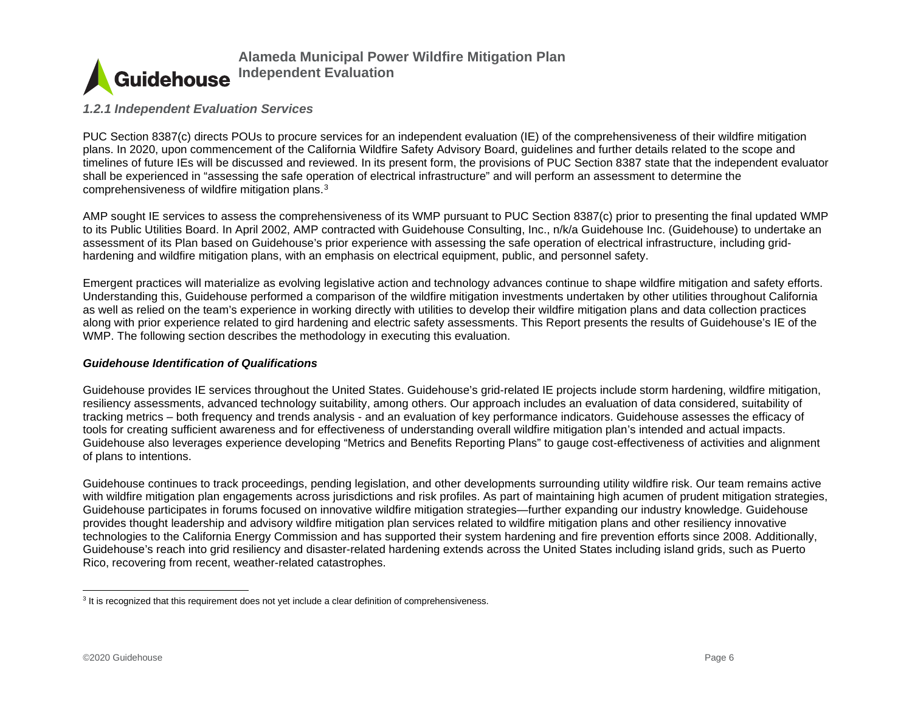<span id="page-6-1"></span>

#### *1.2.1 Independent Evaluation Services*

PUC Section 8387(c) directs POUs to procure services for an independent evaluation (IE) of the comprehensiveness of their wildfire mitigation plans. In 2020, upon commencement of the California Wildfire Safety Advisory Board, guidelines and further details related to the scope and timelines of future IEs will be discussed and reviewed. In its present form, the provisions of PUC Section 8387 state that the independent evaluator shall be experienced in "assessing the safe operation of electrical infrastructure" and will perform an assessment to determine the comprehensiveness of wildfire mitigation plans.[3](#page-6-1)

AMP sought IE services to assess the comprehensiveness of its WMP pursuant to PUC Section 8387(c) prior to presenting the final updated WMP to its Public Utilities Board. In April 2002, AMP contracted with Guidehouse Consulting, Inc., n/k/a Guidehouse Inc. (Guidehouse) to undertake an assessment of its Plan based on Guidehouse's prior experience with assessing the safe operation of electrical infrastructure, including gridhardening and wildfire mitigation plans, with an emphasis on electrical equipment, public, and personnel safety.

<span id="page-6-0"></span>Emergent practices will materialize as evolving legislative action and technology advances continue to shape wildfire mitigation and safety efforts. Understanding this, Guidehouse performed a comparison of the wildfire mitigation investments undertaken by other utilities throughout California as well as relied on the team's experience in working directly with utilities to develop their wildfire mitigation plans and data collection practices along with prior experience related to gird hardening and electric safety assessments. This Report presents the results of Guidehouse's IE of the WMP. The following section describes the methodology in executing this evaluation.

#### *Guidehouse Identification of Qualifications*

Guidehouse provides IE services throughout the United States. Guidehouse's grid-related IE projects include storm hardening, wildfire mitigation, resiliency assessments, advanced technology suitability, among others. Our approach includes an evaluation of data considered, suitability of tracking metrics – both frequency and trends analysis - and an evaluation of key performance indicators. Guidehouse assesses the efficacy of tools for creating sufficient awareness and for effectiveness of understanding overall wildfire mitigation plan's intended and actual impacts. Guidehouse also leverages experience developing "Metrics and Benefits Reporting Plans" to gauge cost-effectiveness of activities and alignment of plans to intentions.

Guidehouse continues to track proceedings, pending legislation, and other developments surrounding utility wildfire risk. Our team remains active with wildfire mitigation plan engagements across jurisdictions and risk profiles. As part of maintaining high acumen of prudent mitigation strategies, Guidehouse participates in forums focused on innovative wildfire mitigation strategies—further expanding our industry knowledge. Guidehouse provides thought leadership and advisory wildfire mitigation plan services related to wildfire mitigation plans and other resiliency innovative technologies to the California Energy Commission and has supported their system hardening and fire prevention efforts since 2008. Additionally, Guidehouse's reach into grid resiliency and disaster-related hardening extends across the United States including island grids, such as Puerto Rico, recovering from recent, weather-related catastrophes.

<sup>&</sup>lt;sup>3</sup> It is recognized that this requirement does not yet include a clear definition of comprehensiveness.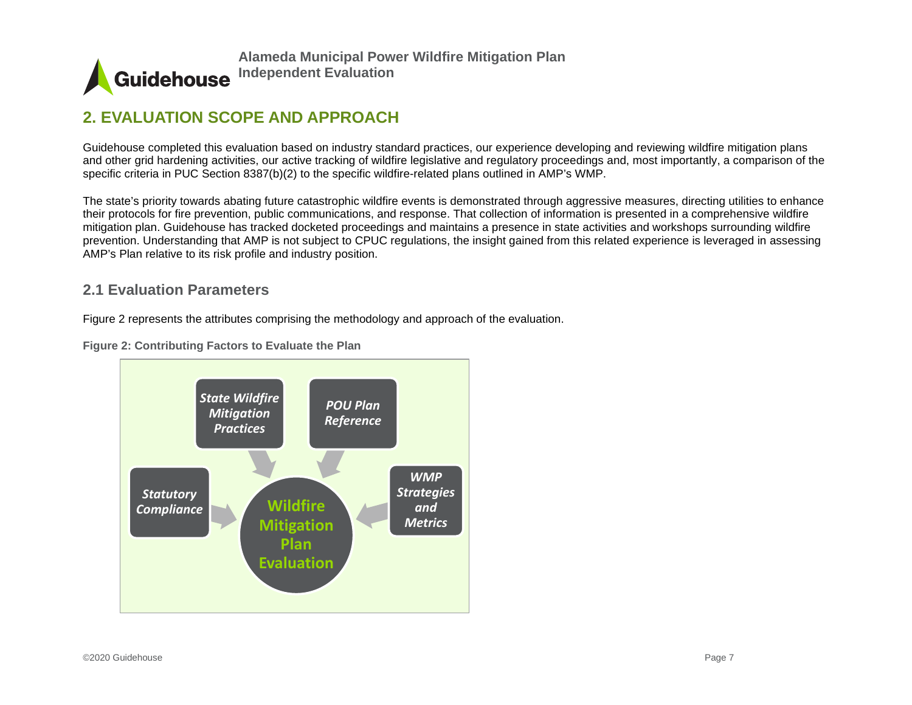

# **2. EVALUATION SCOPE AND APPROACH**

Guidehouse completed this evaluation based on industry standard practices, our experience developing and reviewing wildfire mitigation plans and other grid hardening activities, our active tracking of wildfire legislative and regulatory proceedings and, most importantly, a comparison of the specific criteria in PUC Section 8387(b)(2) to the specific wildfire-related plans outlined in AMP's WMP.

The state's priority towards abating future catastrophic wildfire events is demonstrated through aggressive measures, directing utilities to enhance their protocols for fire prevention, public communications, and response. That collection of information is presented in a comprehensive wildfire mitigation plan. Guidehouse has tracked docketed proceedings and maintains a presence in state activities and workshops surrounding wildfire prevention. Understanding that AMP is not subject to CPUC regulations, the insight gained from this related experience is leveraged in assessing AMP's Plan relative to its risk profile and industry position.

# **2.1 Evaluation Parameters**

<span id="page-7-0"></span>Figure 2 represents the attributes comprising the methodology and approach of the evaluation.

**Figure 2: Contributing Factors to Evaluate the Plan**

<span id="page-7-1"></span>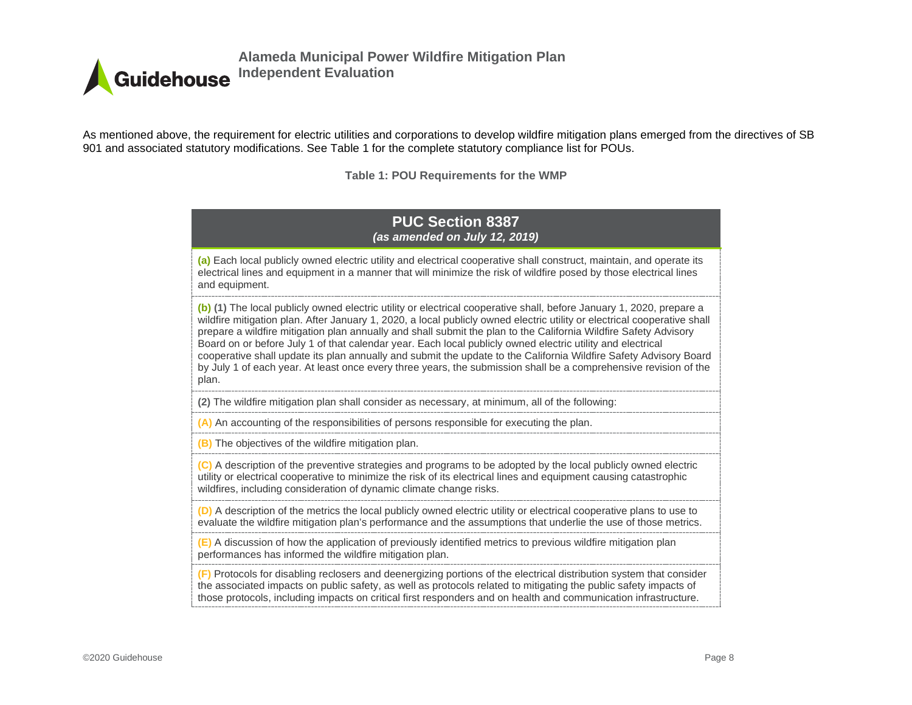

As mentioned above, the requirement for electric utilities and corporations to develop wildfire mitigation plans emerged from the directives of SB 901 and associated statutory modifications. See Table 1 for the complete statutory compliance list for POUs.

**Table 1: POU Requirements for the WMP**

#### **PUC Section 8387**  *(as amended on July 12, 2019)*

**(a)** Each local publicly owned electric utility and electrical cooperative shall construct, maintain, and operate its electrical lines and equipment in a manner that will minimize the risk of wildfire posed by those electrical lines and equipment.

**(b) (1)** The local publicly owned electric utility or electrical cooperative shall, before January 1, 2020, prepare a wildfire mitigation plan. After January 1, 2020, a local publicly owned electric utility or electrical cooperative shall prepare a wildfire mitigation plan annually and shall submit the plan to the California Wildfire Safety Advisory Board on or before July 1 of that calendar year. Each local publicly owned electric utility and electrical cooperative shall update its plan annually and submit the update to the California Wildfire Safety Advisory Board by July 1 of each year. At least once every three years, the submission shall be a comprehensive revision of the plan.

**(2)** The wildfire mitigation plan shall consider as necessary, at minimum, all of the following:

**(A)** An accounting of the responsibilities of persons responsible for executing the plan.

**(B)** The objectives of the wildfire mitigation plan.

**(C)** A description of the preventive strategies and programs to be adopted by the local publicly owned electric utility or electrical cooperative to minimize the risk of its electrical lines and equipment causing catastrophic wildfires, including consideration of dynamic climate change risks.

**(D)** A description of the metrics the local publicly owned electric utility or electrical cooperative plans to use to evaluate the wildfire mitigation plan's performance and the assumptions that underlie the use of those metrics.

**(E)** A discussion of how the application of previously identified metrics to previous wildfire mitigation plan performances has informed the wildfire mitigation plan.

**(F)** Protocols for disabling reclosers and deenergizing portions of the electrical distribution system that consider the associated impacts on public safety, as well as protocols related to mitigating the public safety impacts of those protocols, including impacts on critical first responders and on health and communication infrastructure.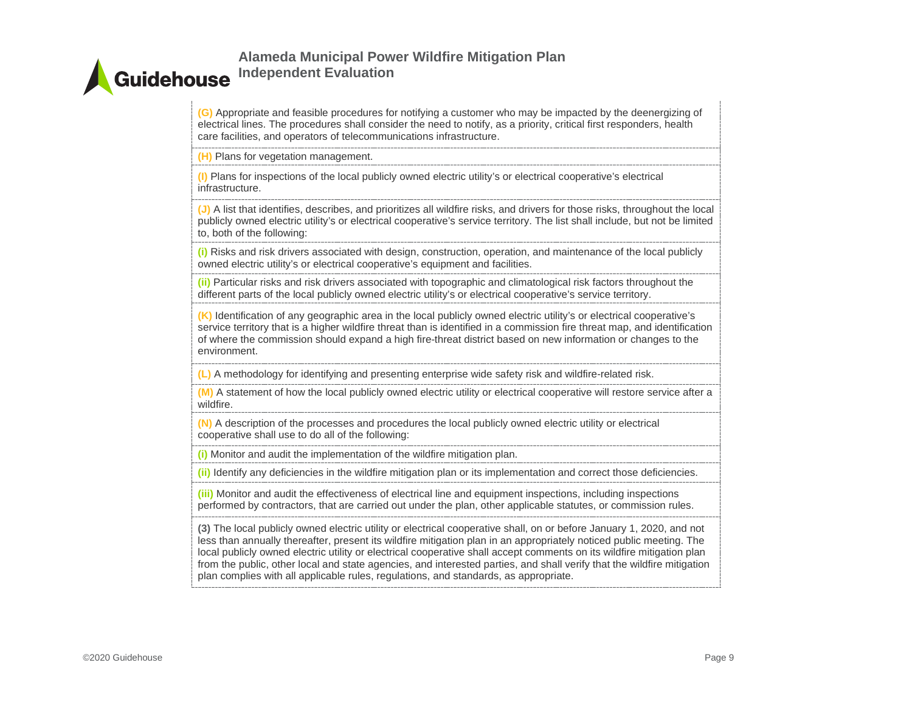**(G)** Appropriate and feasible procedures for notifying a customer who may be impacted by the deenergizing of electrical lines. The procedures shall consider the need to notify, as a priority, critical first responders, health care facilities, and operators of telecommunications infrastructure.

**(H)** Plans for vegetation management.

**(I)** Plans for inspections of the local publicly owned electric utility's or electrical cooperative's electrical infrastructure.

**(J)** A list that identifies, describes, and prioritizes all wildfire risks, and drivers for those risks, throughout the local publicly owned electric utility's or electrical cooperative's service territory. The list shall include, but not be limited to, both of the following:

**(i)** Risks and risk drivers associated with design, construction, operation, and maintenance of the local publicly owned electric utility's or electrical cooperative's equipment and facilities.

**(ii)** Particular risks and risk drivers associated with topographic and climatological risk factors throughout the different parts of the local publicly owned electric utility's or electrical cooperative's service territory.

**(K)** Identification of any geographic area in the local publicly owned electric utility's or electrical cooperative's service territory that is a higher wildfire threat than is identified in a commission fire threat map, and identification of where the commission should expand a high fire-threat district based on new information or changes to the environment.

**(L)** A methodology for identifying and presenting enterprise wide safety risk and wildfire-related risk.

**(M)** A statement of how the local publicly owned electric utility or electrical cooperative will restore service after a wildfire.

**(N)** A description of the processes and procedures the local publicly owned electric utility or electrical cooperative shall use to do all of the following:

**(i)** Monitor and audit the implementation of the wildfire mitigation plan.

**(ii)** Identify any deficiencies in the wildfire mitigation plan or its implementation and correct those deficiencies.

**(iii)** Monitor and audit the effectiveness of electrical line and equipment inspections, including inspections performed by contractors, that are carried out under the plan, other applicable statutes, or commission rules.

**(3)** The local publicly owned electric utility or electrical cooperative shall, on or before January 1, 2020, and not less than annually thereafter, present its wildfire mitigation plan in an appropriately noticed public meeting. The local publicly owned electric utility or electrical cooperative shall accept comments on its wildfire mitigation plan from the public, other local and state agencies, and interested parties, and shall verify that the wildfire mitigation plan complies with all applicable rules, regulations, and standards, as appropriate.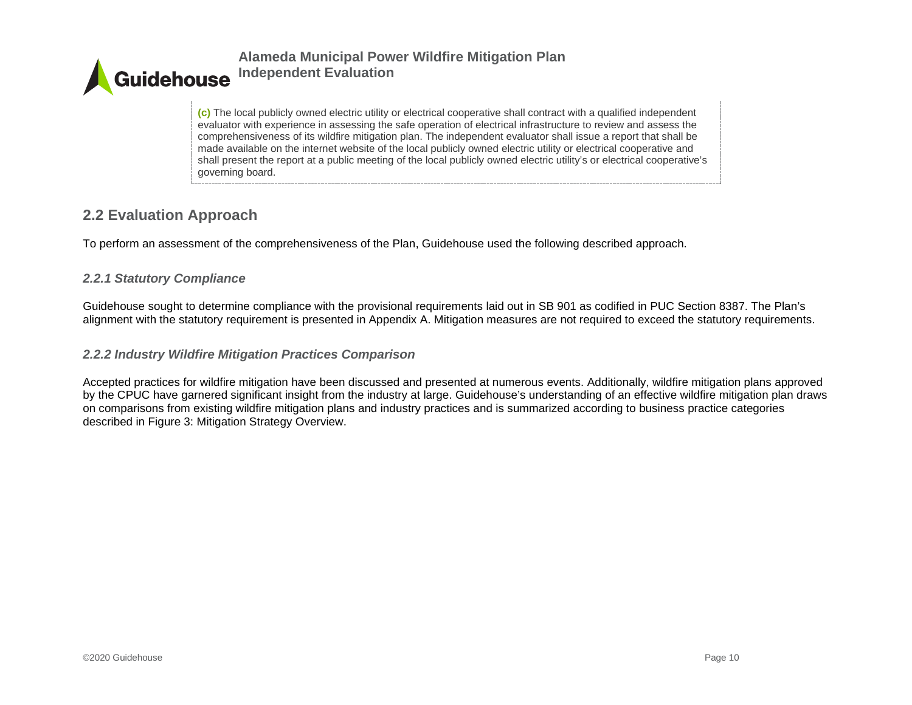

**(c)** The local publicly owned electric utility or electrical cooperative shall contract with a qualified independent evaluator with experience in assessing the safe operation of electrical infrastructure to review and assess the comprehensiveness of its wildfire mitigation plan. The independent evaluator shall issue a report that shall be made available on the internet website of the local publicly owned electric utility or electrical cooperative and shall present the report at a public meeting of the local publicly owned electric utility's or electrical cooperative's governing board.

# **2.2 Evaluation Approach**

To perform an assessment of the comprehensiveness of the Plan, Guidehouse used the following described approach.

### *2.2.1 Statutory Compliance*

Guidehouse sought to determine compliance with the provisional requirements laid out in SB 901 as codified in PUC Section 8387. The Plan's alignment with the statutory requirement is presented in Appendix A. Mitigation measures are not required to exceed the statutory requirements.

### *2.2.2 Industry Wildfire Mitigation Practices Comparison*

<span id="page-10-2"></span><span id="page-10-1"></span><span id="page-10-0"></span>Accepted practices for wildfire mitigation have been discussed and presented at numerous events. Additionally, wildfire mitigation plans approved by the CPUC have garnered significant insight from the industry at large. Guidehouse's understanding of an effective wildfire mitigation plan draws on comparisons from existing wildfire mitigation plans and industry practices and is summarized according to business practice categories described in [Figure 3: Mitigation Strategy Overview.](#page-11-0)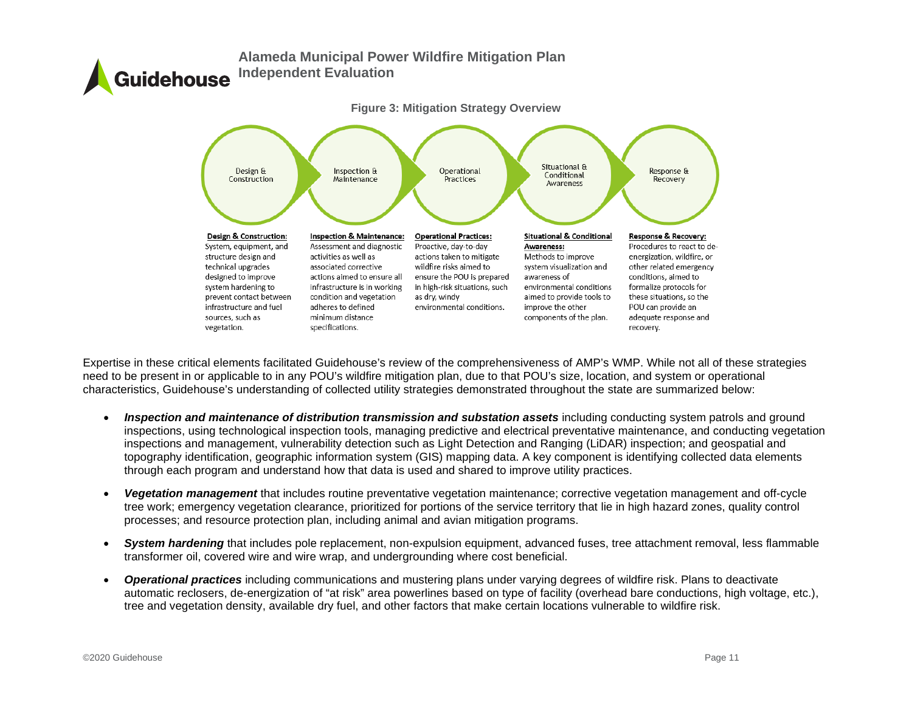<span id="page-11-0"></span>

Expertise in these critical elements facilitated Guidehouse's review of the comprehensiveness of AMP's WMP. While not all of these strategies need to be present in or applicable to in any POU's wildfire mitigation plan, due to that POU's size, location, and system or operational characteristics, Guidehouse's understanding of collected utility strategies demonstrated throughout the state are summarized below:

- *Inspection and maintenance of distribution transmission and substation assets* including conducting system patrols and ground inspections, using technological inspection tools, managing predictive and electrical preventative maintenance, and conducting vegetation inspections and management, vulnerability detection such as Light Detection and Ranging (LiDAR) inspection; and geospatial and topography identification, geographic information system (GIS) mapping data. A key component is identifying collected data elements through each program and understand how that data is used and shared to improve utility practices.
- *Vegetation management* that includes routine preventative vegetation maintenance; corrective vegetation management and off-cycle tree work; emergency vegetation clearance, prioritized for portions of the service territory that lie in high hazard zones, quality control processes; and resource protection plan, including animal and avian mitigation programs.
- *System hardening* that includes pole replacement, non-expulsion equipment, advanced fuses, tree attachment removal, less flammable transformer oil, covered wire and wire wrap, and undergrounding where cost beneficial.
- *Operational practices* including communications and mustering plans under varying degrees of wildfire risk. Plans to deactivate automatic reclosers, de-energization of "at risk" area powerlines based on type of facility (overhead bare conductions, high voltage, etc.), tree and vegetation density, available dry fuel, and other factors that make certain locations vulnerable to wildfire risk.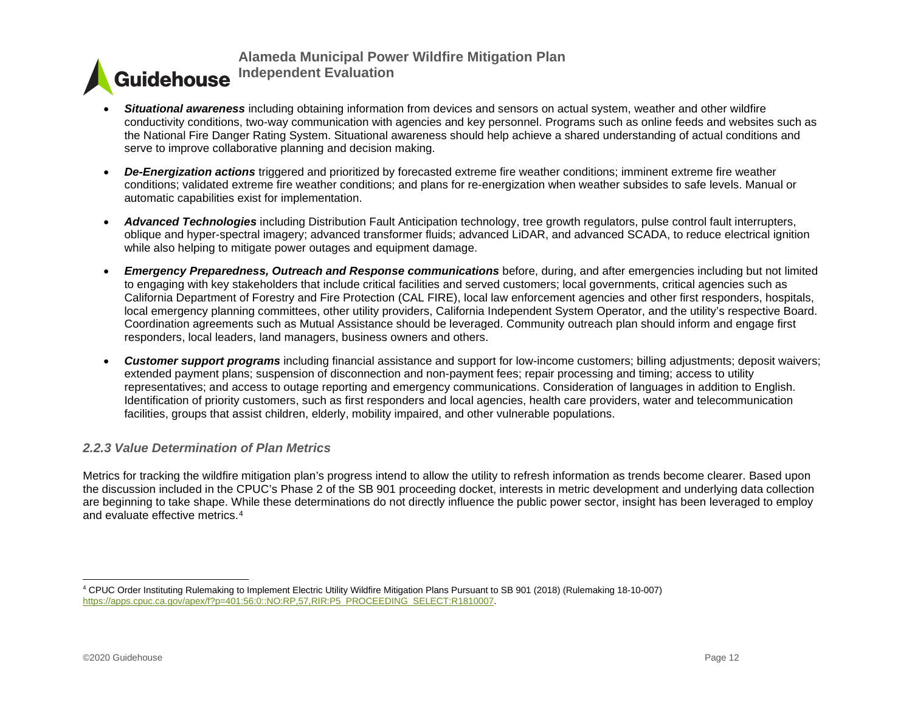- <span id="page-12-1"></span>• *Situational awareness* including obtaining information from devices and sensors on actual system, weather and other wildfire conductivity conditions, two-way communication with agencies and key personnel. Programs such as online feeds and websites such as the National Fire Danger Rating System. Situational awareness should help achieve a shared understanding of actual conditions and serve to improve collaborative planning and decision making.
- *De-Energization actions* triggered and prioritized by forecasted extreme fire weather conditions; imminent extreme fire weather conditions; validated extreme fire weather conditions; and plans for re-energization when weather subsides to safe levels. Manual or automatic capabilities exist for implementation.
- *Advanced Technologies* including Distribution Fault Anticipation technology, tree growth regulators, pulse control fault interrupters, oblique and hyper-spectral imagery; advanced transformer fluids; advanced LiDAR, and advanced SCADA, to reduce electrical ignition while also helping to mitigate power outages and equipment damage.
- *Emergency Preparedness, Outreach and Response communications* before, during, and after emergencies including but not limited to engaging with key stakeholders that include critical facilities and served customers; local governments, critical agencies such as California Department of Forestry and Fire Protection (CAL FIRE), local law enforcement agencies and other first responders, hospitals, local emergency planning committees, other utility providers, California Independent System Operator, and the utility's respective Board. Coordination agreements such as Mutual Assistance should be leveraged. Community outreach plan should inform and engage first responders, local leaders, land managers, business owners and others.
- *Customer support programs* including financial assistance and support for low-income customers; billing adjustments; deposit waivers; extended payment plans; suspension of disconnection and non-payment fees; repair processing and timing; access to utility representatives; and access to outage reporting and emergency communications. Consideration of languages in addition to English. Identification of priority customers, such as first responders and local agencies, health care providers, water and telecommunication facilities, groups that assist children, elderly, mobility impaired, and other vulnerable populations.

#### *2.2.3 Value Determination of Plan Metrics*

Metrics for tracking the wildfire mitigation plan's progress intend to allow the utility to refresh information as trends become clearer. Based upon the discussion included in the CPUC's Phase 2 of the SB 901 proceeding docket, interests in metric development and underlying data collection are beginning to take shape. While these determinations do not directly influence the public power sector, insight has been leveraged to employ and evaluate effective metrics.[4](#page-12-1)

<span id="page-12-0"></span><sup>4</sup> CPUC Order Instituting Rulemaking to Implement Electric Utility Wildfire Mitigation Plans Pursuant to SB 901 (2018) (Rulemaking 18-10-007) [https://apps.cpuc.ca.gov/apex/f?p=401:56:0::NO:RP,57,RIR:P5\\_PROCEEDING\\_SELECT:R1810007.](https://apps.cpuc.ca.gov/apex/f?p=401:56:0::NO:RP,57,RIR:P5_PROCEEDING_SELECT:R1810007)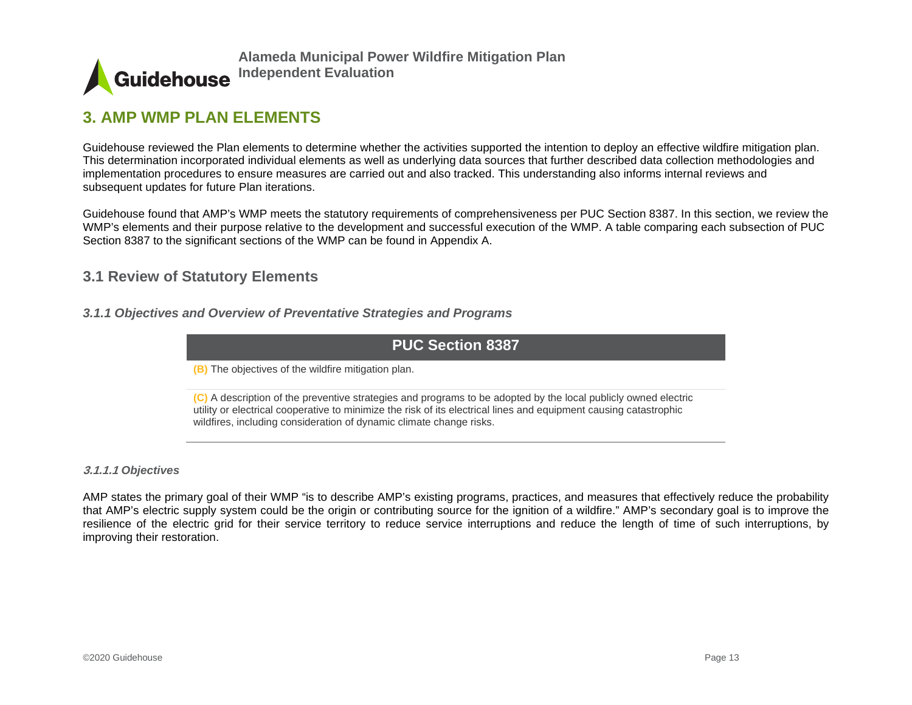

# **3. AMP WMP PLAN ELEMENTS**

Guidehouse reviewed the Plan elements to determine whether the activities supported the intention to deploy an effective wildfire mitigation plan. This determination incorporated individual elements as well as underlying data sources that further described data collection methodologies and implementation procedures to ensure measures are carried out and also tracked. This understanding also informs internal reviews and subsequent updates for future Plan iterations.

Guidehouse found that AMP's WMP meets the statutory requirements of comprehensiveness per PUC Section 8387. In this section, we review the WMP's elements and their purpose relative to the development and successful execution of the WMP. A table comparing each subsection of PUC Section 8387 to the significant sections of the WMP can be found in Appendix A.

# **3.1 Review of Statutory Elements**

<span id="page-13-0"></span>*3.1.1 Objectives and Overview of Preventative Strategies and Programs*

### **PUC Section 8387**

**(B)** The objectives of the wildfire mitigation plan.

**(C)** A description of the preventive strategies and programs to be adopted by the local publicly owned electric utility or electrical cooperative to minimize the risk of its electrical lines and equipment causing catastrophic wildfires, including consideration of dynamic climate change risks.

#### <span id="page-13-1"></span>**3.1.1.1** *Objectives*

<span id="page-13-2"></span>AMP states the primary goal of their WMP "is to describe AMP's existing programs, practices, and measures that effectively reduce the probability that AMP's electric supply system could be the origin or contributing source for the ignition of a wildfire." AMP's secondary goal is to improve the resilience of the electric grid for their service territory to reduce service interruptions and reduce the length of time of such interruptions, by improving their restoration.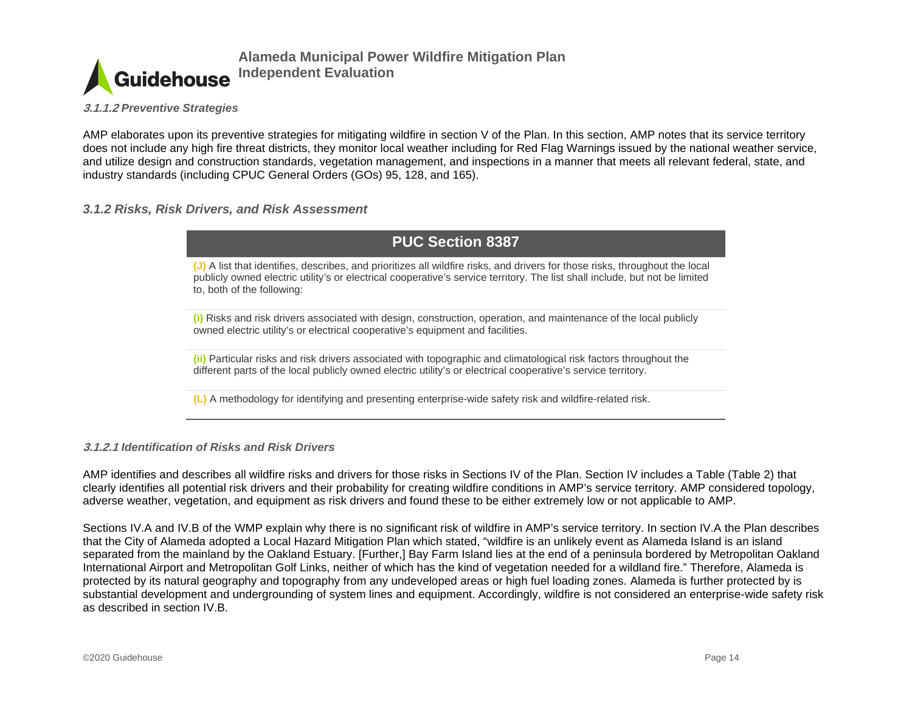**Guidehouse** 

**Alameda Municipal Power Wildfire Mitigation Plan Independent Evaluation**

**3.1.1.2** *Preventive Strategies*

AMP elaborates upon its preventive strategies for mitigating wildfire in section V of the Plan. In this section, AMP notes that its service territory does not include any high fire threat districts, they monitor local weather including for Red Flag Warnings issued by the national weather service, and utilize design and construction standards, vegetation management, and inspections in a manner that meets all relevant federal, state, and industry standards (including CPUC General Orders (GOs) 95, 128, and 165).

#### *3.1.2 Risks, Risk Drivers, and Risk Assessment*

# **PUC Section 8387**

**(J)** A list that identifies, describes, and prioritizes all wildfire risks, and drivers for those risks, throughout the local publicly owned electric utility's or electrical cooperative's service territory. The list shall include, but not be limited to, both of the following:

**(i)** Risks and risk drivers associated with design, construction, operation, and maintenance of the local publicly owned electric utility's or electrical cooperative's equipment and facilities.

**(ii)** Particular risks and risk drivers associated with topographic and climatological risk factors throughout the different parts of the local publicly owned electric utility's or electrical cooperative's service territory.

**(L)** A methodology for identifying and presenting enterprise-wide safety risk and wildfire-related risk.

#### <span id="page-14-0"></span>**3.1.2.1** *Identification of Risks and Risk Drivers*

AMP identifies and describes all wildfire risks and drivers for those risks in Sections IV of the Plan. Section IV includes a Table (Table 2) that clearly identifies all potential risk drivers and their probability for creating wildfire conditions in AMP's service territory. AMP considered topology, adverse weather, vegetation, and equipment as risk drivers and found these to be either extremely low or not applicable to AMP.

Sections IV.A and IV.B of the WMP explain why there is no significant risk of wildfire in AMP's service territory. In section IV.A the Plan describes that the City of Alameda adopted a Local Hazard Mitigation Plan which stated, "wildfire is an unlikely event as Alameda Island is an island separated from the mainland by the Oakland Estuary. [Further,] Bay Farm Island lies at the end of a peninsula bordered by Metropolitan Oakland International Airport and Metropolitan Golf Links, neither of which has the kind of vegetation needed for a wildland fire." Therefore, Alameda is protected by its natural geography and topography from any undeveloped areas or high fuel loading zones. Alameda is further protected by is substantial development and undergrounding of system lines and equipment. Accordingly, wildfire is not considered an enterprise-wide safety risk as described in section IV.B.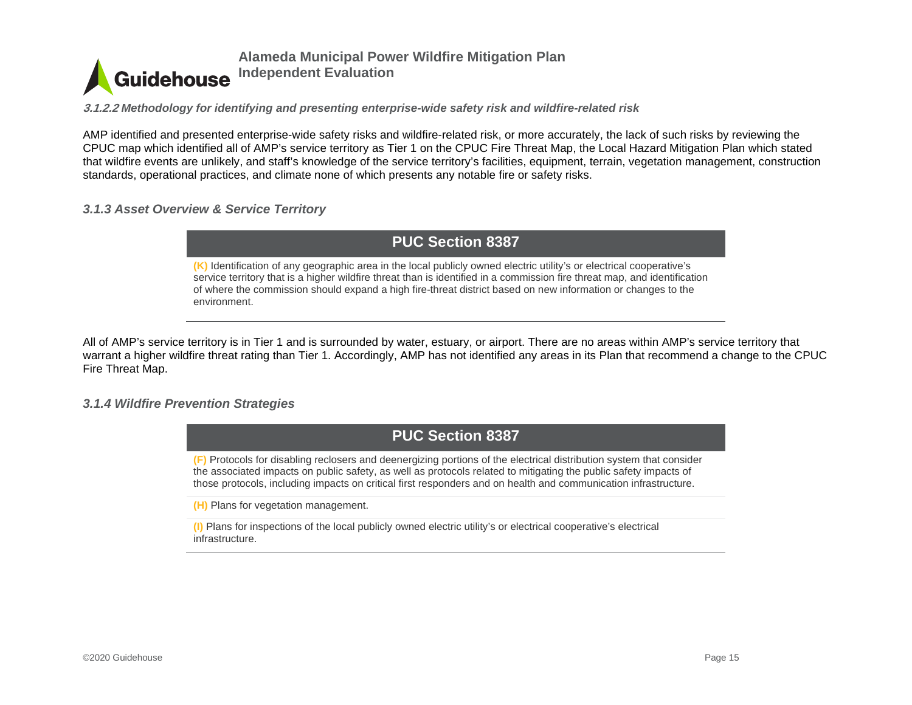

**3.1.2.2** *Methodology for identifying and presenting enterprise-wide safety risk and wildfire-related risk*

AMP identified and presented enterprise-wide safety risks and wildfire-related risk, or more accurately, the lack of such risks by reviewing the CPUC map which identified all of AMP's service territory as Tier 1 on the CPUC Fire Threat Map, the Local Hazard Mitigation Plan which stated that wildfire events are unlikely, and staff's knowledge of the service territory's facilities, equipment, terrain, vegetation management, construction standards, operational practices, and climate none of which presents any notable fire or safety risks.

#### *3.1.3 Asset Overview & Service Territory*

**PUC Section 8387**

**(K)** Identification of any geographic area in the local publicly owned electric utility's or electrical cooperative's service territory that is a higher wildfire threat than is identified in a commission fire threat map, and identification of where the commission should expand a high fire-threat district based on new information or changes to the environment.

All of AMP's service territory is in Tier 1 and is surrounded by water, estuary, or airport. There are no areas within AMP's service territory that warrant a higher wildfire threat rating than Tier 1. Accordingly, AMP has not identified any areas in its Plan that recommend a change to the CPUC Fire Threat Map.

#### <span id="page-15-0"></span>*3.1.4 Wildfire Prevention Strategies*



**(F)** Protocols for disabling reclosers and deenergizing portions of the electrical distribution system that consider the associated impacts on public safety, as well as protocols related to mitigating the public safety impacts of those protocols, including impacts on critical first responders and on health and communication infrastructure.

**(H)** Plans for vegetation management.

<span id="page-15-1"></span>**(I)** Plans for inspections of the local publicly owned electric utility's or electrical cooperative's electrical infrastructure.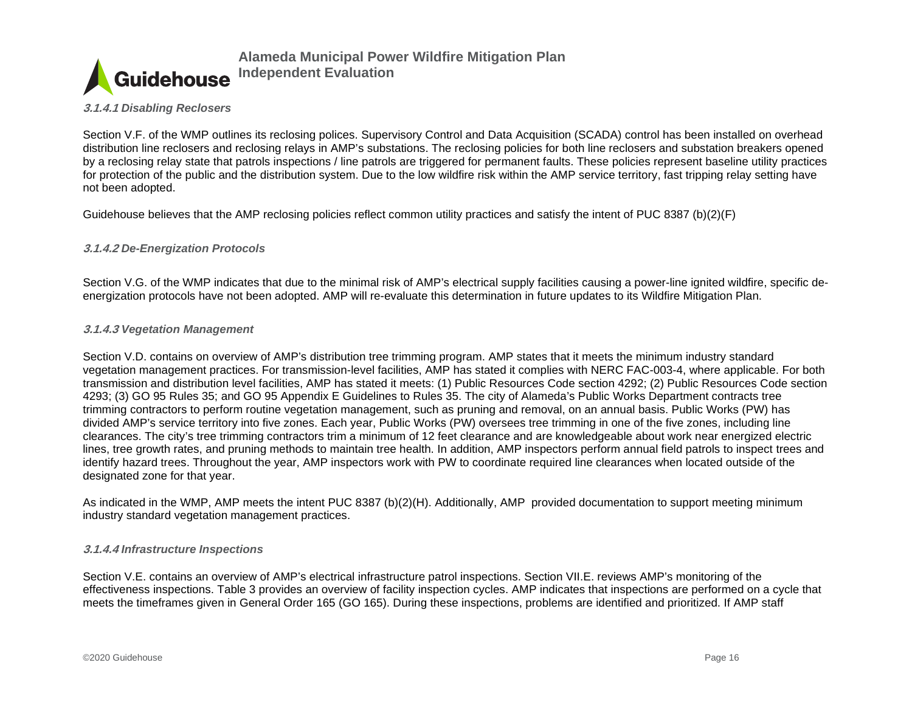

#### **3.1.4.1** *Disabling Reclosers*

Section V.F. of the WMP outlines its reclosing polices. Supervisory Control and Data Acquisition (SCADA) control has been installed on overhead distribution line reclosers and reclosing relays in AMP's substations. The reclosing policies for both line reclosers and substation breakers opened by a reclosing relay state that patrols inspections / line patrols are triggered for permanent faults. These policies represent baseline utility practices for protection of the public and the distribution system. Due to the low wildfire risk within the AMP service territory, fast tripping relay setting have not been adopted.

Guidehouse believes that the AMP reclosing policies reflect common utility practices and satisfy the intent of PUC 8387 (b)(2)(F)

#### **3.1.4.2** *De-Energization Protocols*

Section V.G. of the WMP indicates that due to the minimal risk of AMP's electrical supply facilities causing a power-line ignited wildfire, specific deenergization protocols have not been adopted. AMP will re-evaluate this determination in future updates to its Wildfire Mitigation Plan.

#### **3.1.4.3** *Vegetation Management*

Section V.D. contains on overview of AMP's distribution tree trimming program. AMP states that it meets the minimum industry standard vegetation management practices. For transmission-level facilities, AMP has stated it complies with NERC FAC-003-4, where applicable. For both transmission and distribution level facilities, AMP has stated it meets: (1) Public Resources Code section 4292; (2) Public Resources Code section 4293; (3) GO 95 Rules 35; and GO 95 Appendix E Guidelines to Rules 35. The city of Alameda's Public Works Department contracts tree trimming contractors to perform routine vegetation management, such as pruning and removal, on an annual basis. Public Works (PW) has divided AMP's service territory into five zones. Each year, Public Works (PW) oversees tree trimming in one of the five zones, including line clearances. The city's tree trimming contractors trim a minimum of 12 feet clearance and are knowledgeable about work near energized electric lines, tree growth rates, and pruning methods to maintain tree health. In addition, AMP inspectors perform annual field patrols to inspect trees and identify hazard trees. Throughout the year, AMP inspectors work with PW to coordinate required line clearances when located outside of the designated zone for that year.

As indicated in the WMP, AMP meets the intent PUC 8387 (b)(2)(H). Additionally, AMP provided documentation to support meeting minimum industry standard vegetation management practices.

#### **3.1.4.4** *Infrastructure Inspections*

Section V.E. contains an overview of AMP's electrical infrastructure patrol inspections. Section VII.E. reviews AMP's monitoring of the effectiveness inspections. Table 3 provides an overview of facility inspection cycles. AMP indicates that inspections are performed on a cycle that meets the timeframes given in General Order 165 (GO 165). During these inspections, problems are identified and prioritized. If AMP staff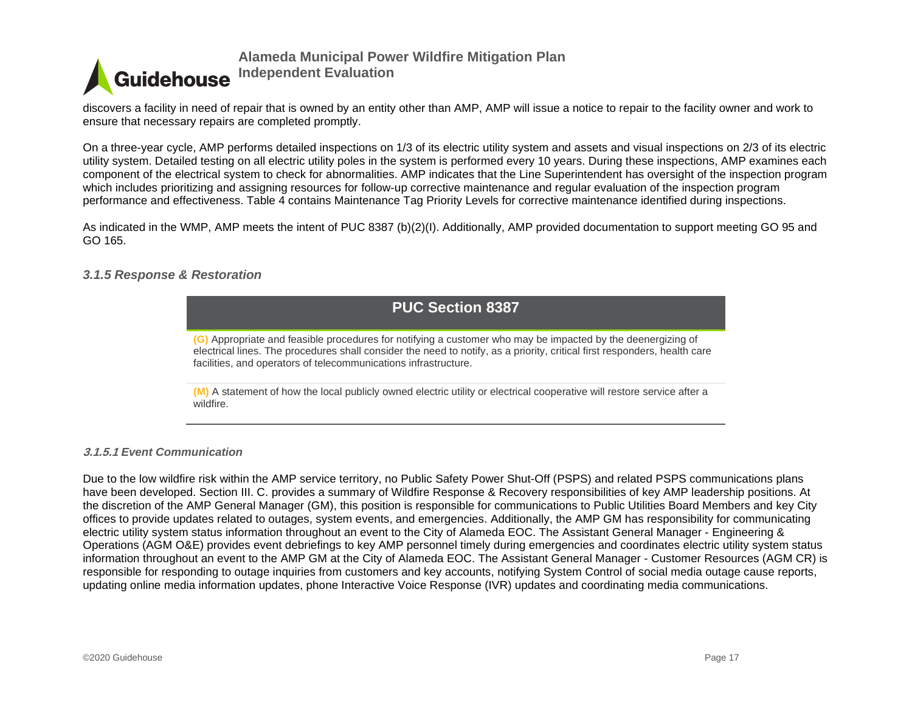

discovers a facility in need of repair that is owned by an entity other than AMP, AMP will issue a notice to repair to the facility owner and work to ensure that necessary repairs are completed promptly.

On a three-year cycle, AMP performs detailed inspections on 1/3 of its electric utility system and assets and visual inspections on 2/3 of its electric utility system. Detailed testing on all electric utility poles in the system is performed every 10 years. During these inspections, AMP examines each component of the electrical system to check for abnormalities. AMP indicates that the Line Superintendent has oversight of the inspection program which includes prioritizing and assigning resources for follow-up corrective maintenance and regular evaluation of the inspection program performance and effectiveness. Table 4 contains Maintenance Tag Priority Levels for corrective maintenance identified during inspections.

As indicated in the WMP, AMP meets the intent of PUC 8387 (b)(2)(I). Additionally, AMP provided documentation to support meeting GO 95 and GO 165.

#### *3.1.5 Response & Restoration*

# **PUC Section 8387**

**(G)** Appropriate and feasible procedures for notifying a customer who may be impacted by the deenergizing of electrical lines. The procedures shall consider the need to notify, as a priority, critical first responders, health care facilities, and operators of telecommunications infrastructure.

**(M)** A statement of how the local publicly owned electric utility or electrical cooperative will restore service after a wildfire.

#### <span id="page-17-0"></span>**3.1.5.1** *Event Communication*

Due to the low wildfire risk within the AMP service territory, no Public Safety Power Shut-Off (PSPS) and related PSPS communications plans have been developed. Section III. C. provides a summary of Wildfire Response & Recovery responsibilities of key AMP leadership positions. At the discretion of the AMP General Manager (GM), this position is responsible for communications to Public Utilities Board Members and key City offices to provide updates related to outages, system events, and emergencies. Additionally, the AMP GM has responsibility for communicating electric utility system status information throughout an event to the City of Alameda EOC. The Assistant General Manager - Engineering & Operations (AGM O&E) provides event debriefings to key AMP personnel timely during emergencies and coordinates electric utility system status information throughout an event to the AMP GM at the City of Alameda EOC. The Assistant General Manager - Customer Resources (AGM CR) is responsible for responding to outage inquiries from customers and key accounts, notifying System Control of social media outage cause reports, updating online media information updates, phone Interactive Voice Response (IVR) updates and coordinating media communications.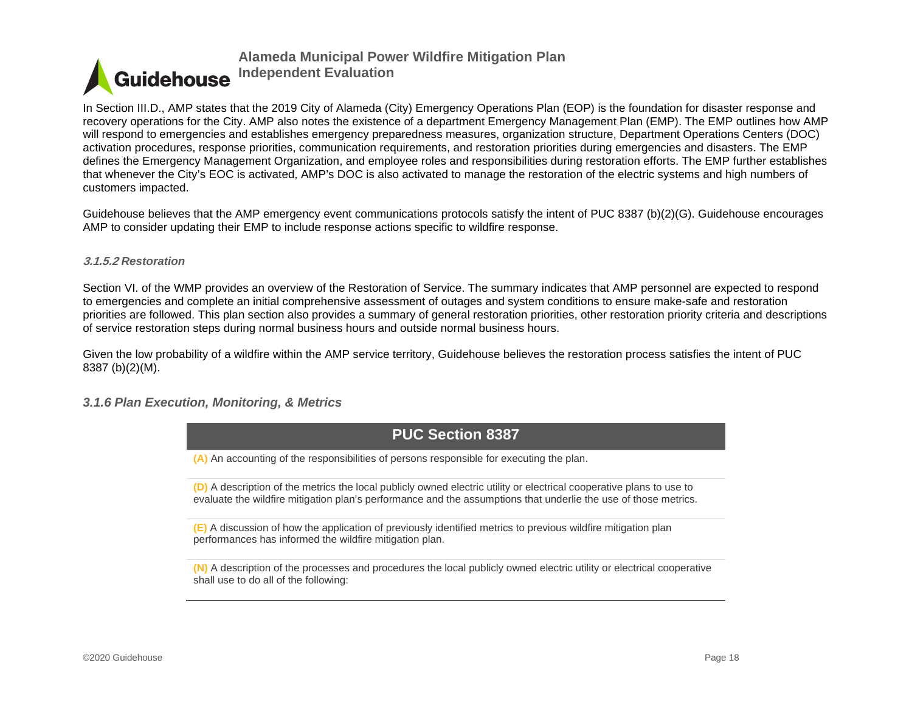

In Section III.D., AMP states that the 2019 City of Alameda (City) Emergency Operations Plan (EOP) is the foundation for disaster response and recovery operations for the City. AMP also notes the existence of a department Emergency Management Plan (EMP). The EMP outlines how AMP will respond to emergencies and establishes emergency preparedness measures, organization structure, Department Operations Centers (DOC) activation procedures, response priorities, communication requirements, and restoration priorities during emergencies and disasters. The EMP defines the Emergency Management Organization, and employee roles and responsibilities during restoration efforts. The EMP further establishes that whenever the City's EOC is activated, AMP's DOC is also activated to manage the restoration of the electric systems and high numbers of customers impacted.

Guidehouse believes that the AMP emergency event communications protocols satisfy the intent of PUC 8387 (b)(2)(G). Guidehouse encourages AMP to consider updating their EMP to include response actions specific to wildfire response.

#### **3.1.5.2** *Restoration*

Section VI. of the WMP provides an overview of the Restoration of Service. The summary indicates that AMP personnel are expected to respond to emergencies and complete an initial comprehensive assessment of outages and system conditions to ensure make-safe and restoration priorities are followed. This plan section also provides a summary of general restoration priorities, other restoration priority criteria and descriptions of service restoration steps during normal business hours and outside normal business hours.

Given the low probability of a wildfire within the AMP service territory, Guidehouse believes the restoration process satisfies the intent of PUC 8387 (b)(2)(M).

#### *3.1.6 Plan Execution, Monitoring, & Metrics*



**(A)** An accounting of the responsibilities of persons responsible for executing the plan.

**(D)** A description of the metrics the local publicly owned electric utility or electrical cooperative plans to use to evaluate the wildfire mitigation plan's performance and the assumptions that underlie the use of those metrics.

**(E)** A discussion of how the application of previously identified metrics to previous wildfire mitigation plan performances has informed the wildfire mitigation plan.

<span id="page-18-0"></span>**(N)** A description of the processes and procedures the local publicly owned electric utility or electrical cooperative shall use to do all of the following: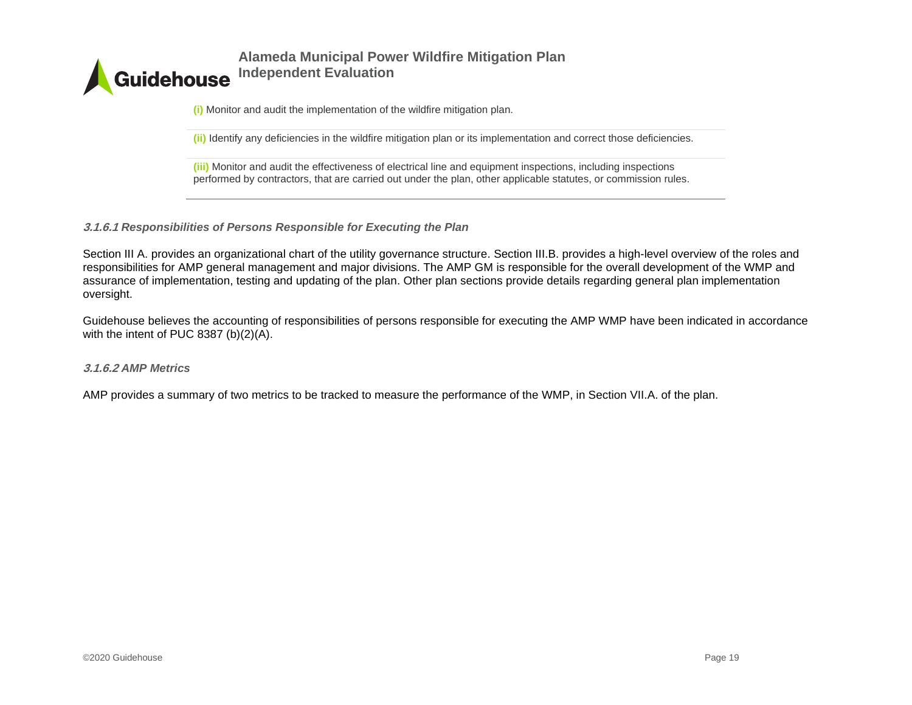

**(i)** Monitor and audit the implementation of the wildfire mitigation plan.

**(ii)** Identify any deficiencies in the wildfire mitigation plan or its implementation and correct those deficiencies.

**(iii)** Monitor and audit the effectiveness of electrical line and equipment inspections, including inspections performed by contractors, that are carried out under the plan, other applicable statutes, or commission rules.

**3.1.6.1** *Responsibilities of Persons Responsible for Executing the Plan*

Section III A. provides an organizational chart of the utility governance structure. Section III.B. provides a high-level overview of the roles and responsibilities for AMP general management and major divisions. The AMP GM is responsible for the overall development of the WMP and assurance of implementation, testing and updating of the plan. Other plan sections provide details regarding general plan implementation oversight.

Guidehouse believes the accounting of responsibilities of persons responsible for executing the AMP WMP have been indicated in accordance with the intent of PUC 8387 (b)(2)(A).

#### **3.1.6.2** *AMP Metrics*

AMP provides a summary of two metrics to be tracked to measure the performance of the WMP, in Section VII.A. of the plan.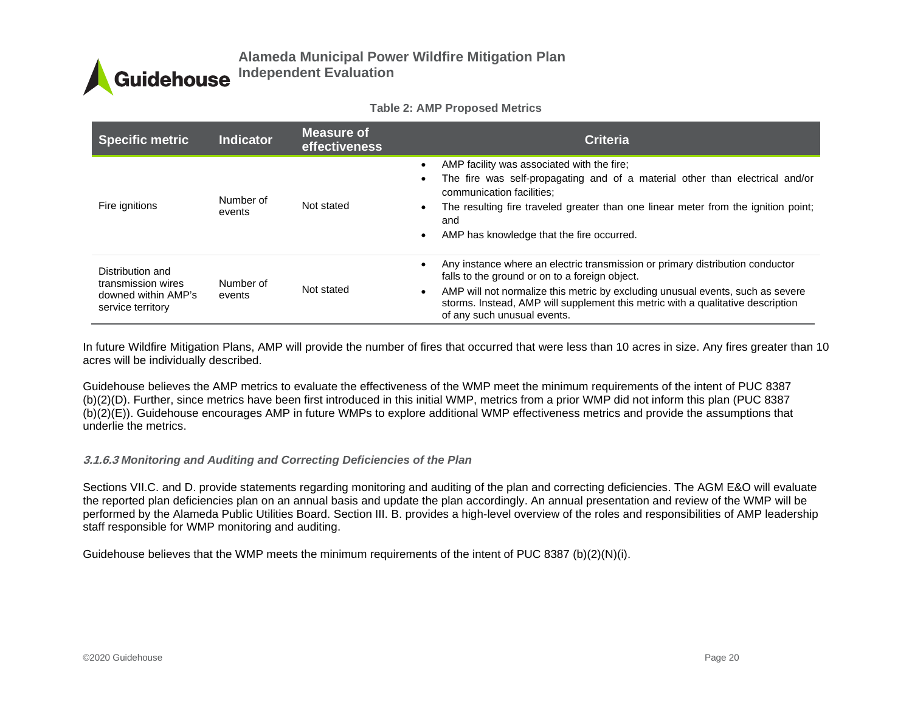#### **Table 2: AMP Proposed Metrics**

| <b>Specific metric</b>                                                             | <b>Indicator</b>    | Measure of<br><b>effectiveness</b> | <b>Criteria</b>                                                                                                                                                                                                                                                                                                                                  |
|------------------------------------------------------------------------------------|---------------------|------------------------------------|--------------------------------------------------------------------------------------------------------------------------------------------------------------------------------------------------------------------------------------------------------------------------------------------------------------------------------------------------|
| Fire ignitions                                                                     | Number of<br>events | Not stated                         | AMP facility was associated with the fire:<br>The fire was self-propagating and of a material other than electrical and/or<br>communication facilities:<br>The resulting fire traveled greater than one linear meter from the ignition point;<br>and<br>AMP has knowledge that the fire occurred.                                                |
| Distribution and<br>transmission wires<br>downed within AMP's<br>service territory | Number of<br>events | Not stated                         | Any instance where an electric transmission or primary distribution conductor<br>falls to the ground or on to a foreign object.<br>AMP will not normalize this metric by excluding unusual events, such as severe<br>$\bullet$<br>storms. Instead, AMP will supplement this metric with a qualitative description<br>of any such unusual events. |

In future Wildfire Mitigation Plans, AMP will provide the number of fires that occurred that were less than 10 acres in size. Any fires greater than 10 acres will be individually described.

Guidehouse believes the AMP metrics to evaluate the effectiveness of the WMP meet the minimum requirements of the intent of PUC 8387 (b)(2)(D). Further, since metrics have been first introduced in this initial WMP, metrics from a prior WMP did not inform this plan (PUC 8387 (b)(2)(E)). Guidehouse encourages AMP in future WMPs to explore additional WMP effectiveness metrics and provide the assumptions that underlie the metrics.

#### **3.1.6.3** *Monitoring and Auditing and Correcting Deficiencies of the Plan*

Sections VII.C. and D. provide statements regarding monitoring and auditing of the plan and correcting deficiencies. The AGM E&O will evaluate the reported plan deficiencies plan on an annual basis and update the plan accordingly. An annual presentation and review of the WMP will be performed by the Alameda Public Utilities Board. Section III. B. provides a high-level overview of the roles and responsibilities of AMP leadership staff responsible for WMP monitoring and auditing.

Guidehouse believes that the WMP meets the minimum requirements of the intent of PUC 8387 (b)(2)(N)(i).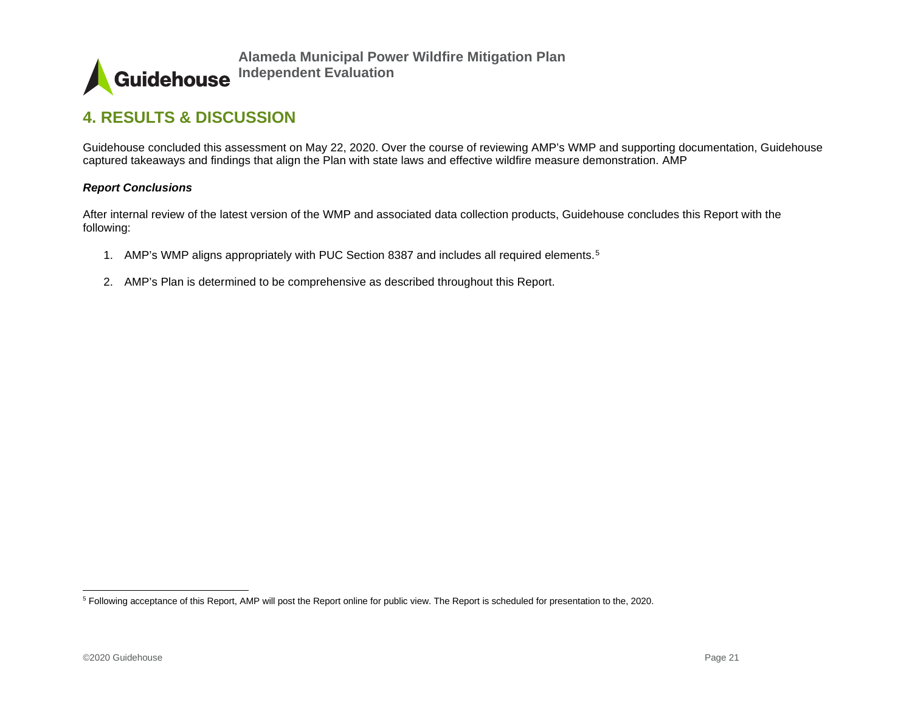<span id="page-21-1"></span>

# **4. RESULTS & DISCUSSION**

Guidehouse concluded this assessment on May 22, 2020. Over the course of reviewing AMP's WMP and supporting documentation, Guidehouse captured takeaways and findings that align the Plan with state laws and effective wildfire measure demonstration. AMP

#### *Report Conclusions*

After internal review of the latest version of the WMP and associated data collection products, Guidehouse concludes this Report with the following:

- 1. AMP's WMP aligns appropriately with PUC Section 8387 and includes all required elements.<sup>[5](#page-21-1)</sup>
- <span id="page-21-0"></span>2. AMP's Plan is determined to be comprehensive as described throughout this Report.

<sup>5</sup> Following acceptance of this Report, AMP will post the Report online for public view. The Report is scheduled for presentation to the, 2020.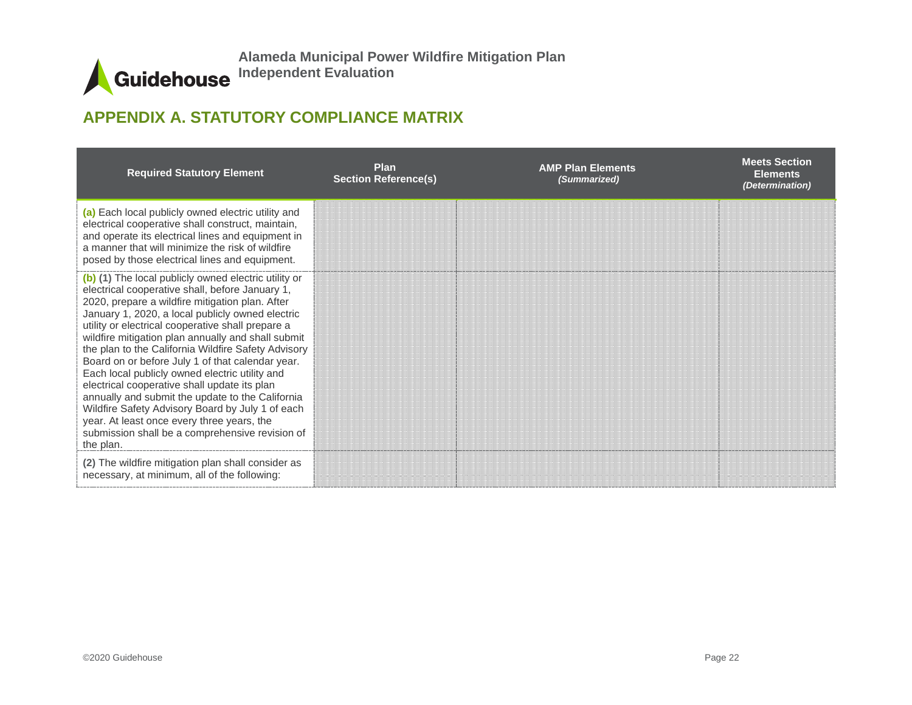# **APPENDIX A. STATUTORY COMPLIANCE MATRIX**

<span id="page-22-0"></span>

| <b>Required Statutory Element</b>                                                                                                                                                                                                                                                                                                                                                                                                                                                                                                                                                                                                                                                                                                                            | <b>Plan</b><br><b>Section Reference(s)</b> | <b>AMP Plan Elements</b><br>(Summarized) | <b>Meets Section</b><br><b>Elements</b><br>(Determination) |
|--------------------------------------------------------------------------------------------------------------------------------------------------------------------------------------------------------------------------------------------------------------------------------------------------------------------------------------------------------------------------------------------------------------------------------------------------------------------------------------------------------------------------------------------------------------------------------------------------------------------------------------------------------------------------------------------------------------------------------------------------------------|--------------------------------------------|------------------------------------------|------------------------------------------------------------|
| (a) Each local publicly owned electric utility and<br>electrical cooperative shall construct, maintain,<br>and operate its electrical lines and equipment in<br>a manner that will minimize the risk of wildfire<br>posed by those electrical lines and equipment.                                                                                                                                                                                                                                                                                                                                                                                                                                                                                           |                                            |                                          |                                                            |
| (b) (1) The local publicly owned electric utility or<br>electrical cooperative shall, before January 1,<br>2020, prepare a wildfire mitigation plan. After<br>January 1, 2020, a local publicly owned electric<br>utility or electrical cooperative shall prepare a<br>wildfire mitigation plan annually and shall submit<br>the plan to the California Wildfire Safety Advisory<br>Board on or before July 1 of that calendar year.<br>Each local publicly owned electric utility and<br>electrical cooperative shall update its plan<br>annually and submit the update to the California<br>Wildfire Safety Advisory Board by July 1 of each<br>year. At least once every three years, the<br>submission shall be a comprehensive revision of<br>the plan. |                                            |                                          |                                                            |
| (2) The wildfire mitigation plan shall consider as<br>necessary, at minimum, all of the following:                                                                                                                                                                                                                                                                                                                                                                                                                                                                                                                                                                                                                                                           |                                            |                                          |                                                            |

 $\blacktriangle$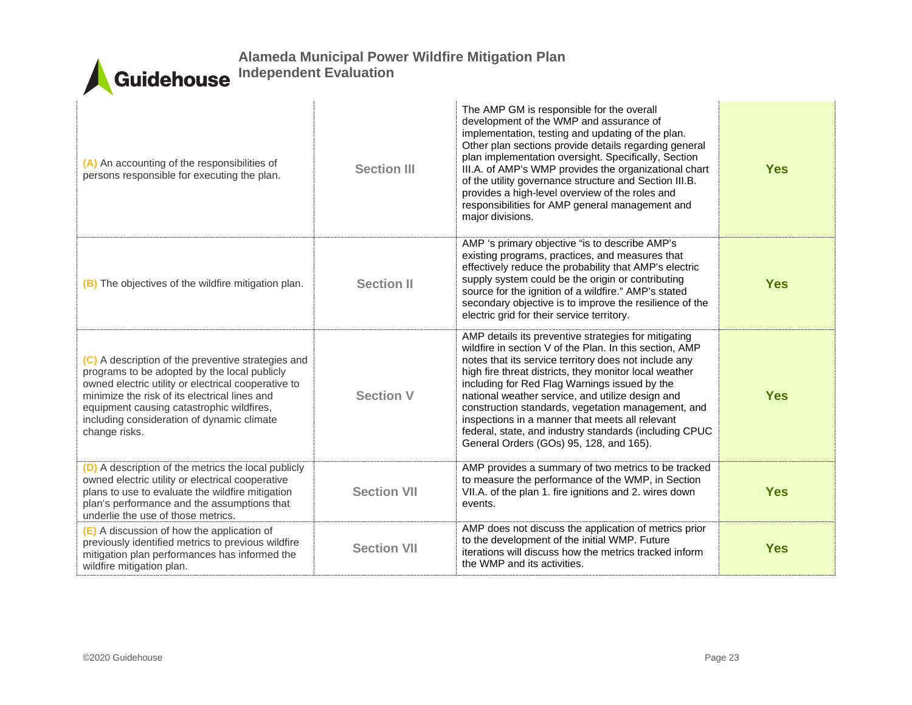| (A) An accounting of the responsibilities of<br>persons responsible for executing the plan.                                                                                                                                                                                                                            | <b>Section III</b> | The AMP GM is responsible for the overall<br>development of the WMP and assurance of<br>implementation, testing and updating of the plan.<br>Other plan sections provide details regarding general<br>plan implementation oversight. Specifically, Section<br>III.A. of AMP's WMP provides the organizational chart<br>of the utility governance structure and Section III.B.<br>provides a high-level overview of the roles and<br>responsibilities for AMP general management and<br>major divisions.                                               | <b>Yes</b> |
|------------------------------------------------------------------------------------------------------------------------------------------------------------------------------------------------------------------------------------------------------------------------------------------------------------------------|--------------------|-------------------------------------------------------------------------------------------------------------------------------------------------------------------------------------------------------------------------------------------------------------------------------------------------------------------------------------------------------------------------------------------------------------------------------------------------------------------------------------------------------------------------------------------------------|------------|
| (B) The objectives of the wildfire mitigation plan.                                                                                                                                                                                                                                                                    | <b>Section II</b>  | AMP 's primary objective "is to describe AMP's<br>existing programs, practices, and measures that<br>effectively reduce the probability that AMP's electric<br>supply system could be the origin or contributing<br>source for the ignition of a wildfire." AMP's stated<br>secondary objective is to improve the resilience of the<br>electric grid for their service territory.                                                                                                                                                                     | <b>Yes</b> |
| (C) A description of the preventive strategies and<br>programs to be adopted by the local publicly<br>owned electric utility or electrical cooperative to<br>minimize the risk of its electrical lines and<br>equipment causing catastrophic wildfires,<br>including consideration of dynamic climate<br>change risks. | <b>Section V</b>   | AMP details its preventive strategies for mitigating<br>wildfire in section V of the Plan. In this section, AMP<br>notes that its service territory does not include any<br>high fire threat districts, they monitor local weather<br>including for Red Flag Warnings issued by the<br>national weather service, and utilize design and<br>construction standards, vegetation management, and<br>inspections in a manner that meets all relevant<br>federal, state, and industry standards (including CPUC<br>General Orders (GOs) 95, 128, and 165). | <b>Yes</b> |
| (D) A description of the metrics the local publicly<br>owned electric utility or electrical cooperative<br>plans to use to evaluate the wildfire mitigation<br>plan's performance and the assumptions that<br>underlie the use of those metrics.                                                                       | <b>Section VII</b> | AMP provides a summary of two metrics to be tracked<br>to measure the performance of the WMP, in Section<br>VII.A. of the plan 1. fire ignitions and 2. wires down<br>events.                                                                                                                                                                                                                                                                                                                                                                         | <b>Yes</b> |
| (E) A discussion of how the application of<br>previously identified metrics to previous wildfire<br>mitigation plan performances has informed the<br>wildfire mitigation plan.                                                                                                                                         | <b>Section VII</b> | AMP does not discuss the application of metrics prior<br>to the development of the initial WMP. Future<br>iterations will discuss how the metrics tracked inform<br>the WMP and its activities.                                                                                                                                                                                                                                                                                                                                                       | <b>Yes</b> |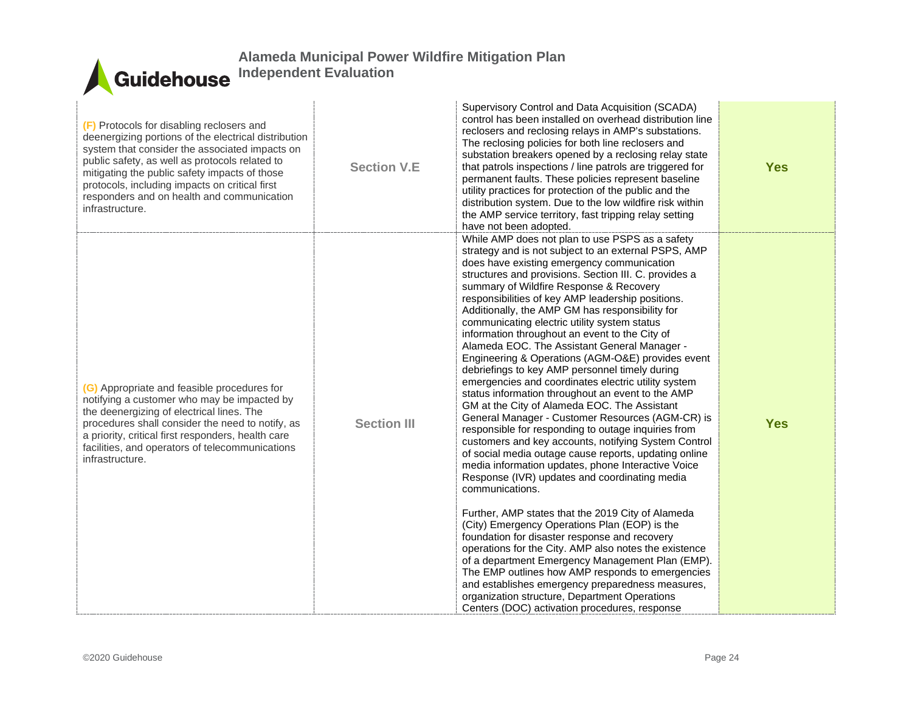| (F) Protocols for disabling reclosers and<br>deenergizing portions of the electrical distribution<br>system that consider the associated impacts on<br>public safety, as well as protocols related to<br>mitigating the public safety impacts of those<br>protocols, including impacts on critical first<br>responders and on health and communication<br>infrastructure. | <b>Section V.E</b> | Supervisory Control and Data Acquisition (SCADA)<br>control has been installed on overhead distribution line<br>reclosers and reclosing relays in AMP's substations.<br>The reclosing policies for both line reclosers and<br>substation breakers opened by a reclosing relay state<br>that patrols inspections / line patrols are triggered for<br>permanent faults. These policies represent baseline<br>utility practices for protection of the public and the<br>distribution system. Due to the low wildfire risk within<br>the AMP service territory, fast tripping relay setting<br>have not been adopted.                                                                                                                                                                                                                                                                                                                                                                                                                                                                                                                                                                                                                                                                                                                                                                                                                                                                                                                                                                                                          | <b>Yes</b> |
|---------------------------------------------------------------------------------------------------------------------------------------------------------------------------------------------------------------------------------------------------------------------------------------------------------------------------------------------------------------------------|--------------------|----------------------------------------------------------------------------------------------------------------------------------------------------------------------------------------------------------------------------------------------------------------------------------------------------------------------------------------------------------------------------------------------------------------------------------------------------------------------------------------------------------------------------------------------------------------------------------------------------------------------------------------------------------------------------------------------------------------------------------------------------------------------------------------------------------------------------------------------------------------------------------------------------------------------------------------------------------------------------------------------------------------------------------------------------------------------------------------------------------------------------------------------------------------------------------------------------------------------------------------------------------------------------------------------------------------------------------------------------------------------------------------------------------------------------------------------------------------------------------------------------------------------------------------------------------------------------------------------------------------------------|------------|
| (G) Appropriate and feasible procedures for<br>notifying a customer who may be impacted by<br>the deenergizing of electrical lines. The<br>procedures shall consider the need to notify, as<br>a priority, critical first responders, health care<br>facilities, and operators of telecommunications<br>infrastructure.                                                   | <b>Section III</b> | While AMP does not plan to use PSPS as a safety<br>strategy and is not subject to an external PSPS, AMP<br>does have existing emergency communication<br>structures and provisions. Section III. C. provides a<br>summary of Wildfire Response & Recovery<br>responsibilities of key AMP leadership positions.<br>Additionally, the AMP GM has responsibility for<br>communicating electric utility system status<br>information throughout an event to the City of<br>Alameda EOC. The Assistant General Manager -<br>Engineering & Operations (AGM-O&E) provides event<br>debriefings to key AMP personnel timely during<br>emergencies and coordinates electric utility system<br>status information throughout an event to the AMP<br>GM at the City of Alameda EOC. The Assistant<br>General Manager - Customer Resources (AGM-CR) is<br>responsible for responding to outage inquiries from<br>customers and key accounts, notifying System Control<br>of social media outage cause reports, updating online<br>media information updates, phone Interactive Voice<br>Response (IVR) updates and coordinating media<br>communications.<br>Further, AMP states that the 2019 City of Alameda<br>(City) Emergency Operations Plan (EOP) is the<br>foundation for disaster response and recovery<br>operations for the City. AMP also notes the existence<br>of a department Emergency Management Plan (EMP).<br>The EMP outlines how AMP responds to emergencies<br>and establishes emergency preparedness measures,<br>organization structure, Department Operations<br>Centers (DOC) activation procedures, response | <b>Yes</b> |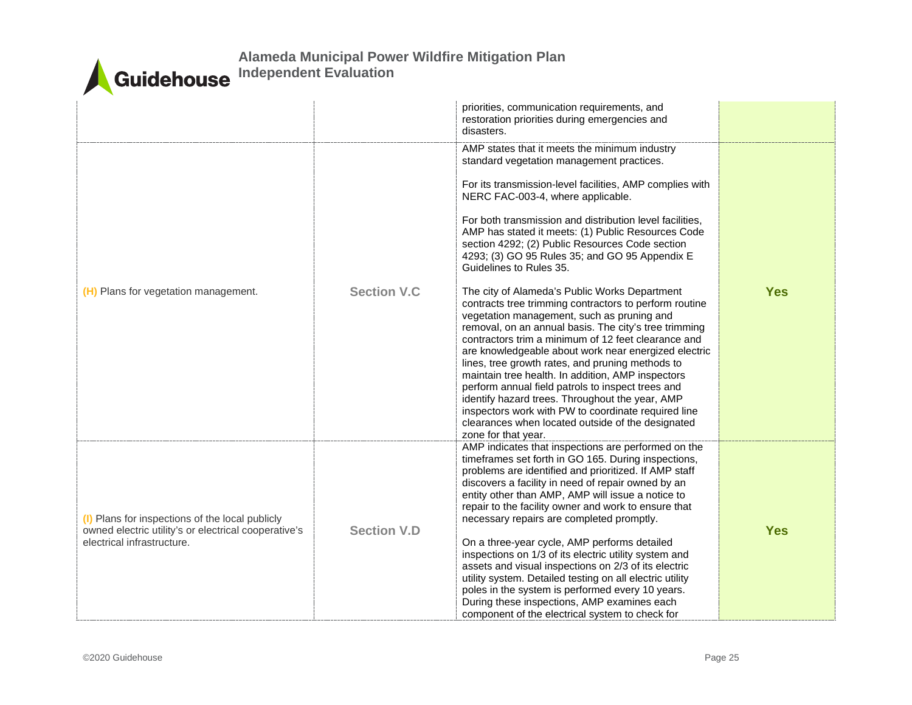

|                                                                                                                                       |                     | priorities, communication requirements, and<br>restoration priorities during emergencies and<br>disasters.                                                                                                                                                                                                                                                                                                                                                                                                                                                                                                                                                                                                                                                                                                                                                                                                                                                                                                                                                                                                                         |            |
|---------------------------------------------------------------------------------------------------------------------------------------|---------------------|------------------------------------------------------------------------------------------------------------------------------------------------------------------------------------------------------------------------------------------------------------------------------------------------------------------------------------------------------------------------------------------------------------------------------------------------------------------------------------------------------------------------------------------------------------------------------------------------------------------------------------------------------------------------------------------------------------------------------------------------------------------------------------------------------------------------------------------------------------------------------------------------------------------------------------------------------------------------------------------------------------------------------------------------------------------------------------------------------------------------------------|------------|
| (H) Plans for vegetation management.                                                                                                  | <b>Section V.C.</b> | AMP states that it meets the minimum industry<br>standard vegetation management practices.<br>For its transmission-level facilities, AMP complies with<br>NERC FAC-003-4, where applicable.<br>For both transmission and distribution level facilities,<br>AMP has stated it meets: (1) Public Resources Code<br>section 4292; (2) Public Resources Code section<br>4293; (3) GO 95 Rules 35; and GO 95 Appendix E<br>Guidelines to Rules 35.<br>The city of Alameda's Public Works Department<br>contracts tree trimming contractors to perform routine<br>vegetation management, such as pruning and<br>removal, on an annual basis. The city's tree trimming<br>contractors trim a minimum of 12 feet clearance and<br>are knowledgeable about work near energized electric<br>lines, tree growth rates, and pruning methods to<br>maintain tree health. In addition, AMP inspectors<br>perform annual field patrols to inspect trees and<br>identify hazard trees. Throughout the year, AMP<br>inspectors work with PW to coordinate required line<br>clearances when located outside of the designated<br>zone for that year. | <b>Yes</b> |
| (I) Plans for inspections of the local publicly<br>owned electric utility's or electrical cooperative's<br>electrical infrastructure. | <b>Section V.D</b>  | AMP indicates that inspections are performed on the<br>timeframes set forth in GO 165. During inspections,<br>problems are identified and prioritized. If AMP staff<br>discovers a facility in need of repair owned by an<br>entity other than AMP, AMP will issue a notice to<br>repair to the facility owner and work to ensure that<br>necessary repairs are completed promptly.<br>On a three-year cycle, AMP performs detailed<br>inspections on 1/3 of its electric utility system and<br>assets and visual inspections on 2/3 of its electric<br>utility system. Detailed testing on all electric utility<br>poles in the system is performed every 10 years.<br>During these inspections, AMP examines each<br>component of the electrical system to check for                                                                                                                                                                                                                                                                                                                                                             | <b>Yes</b> |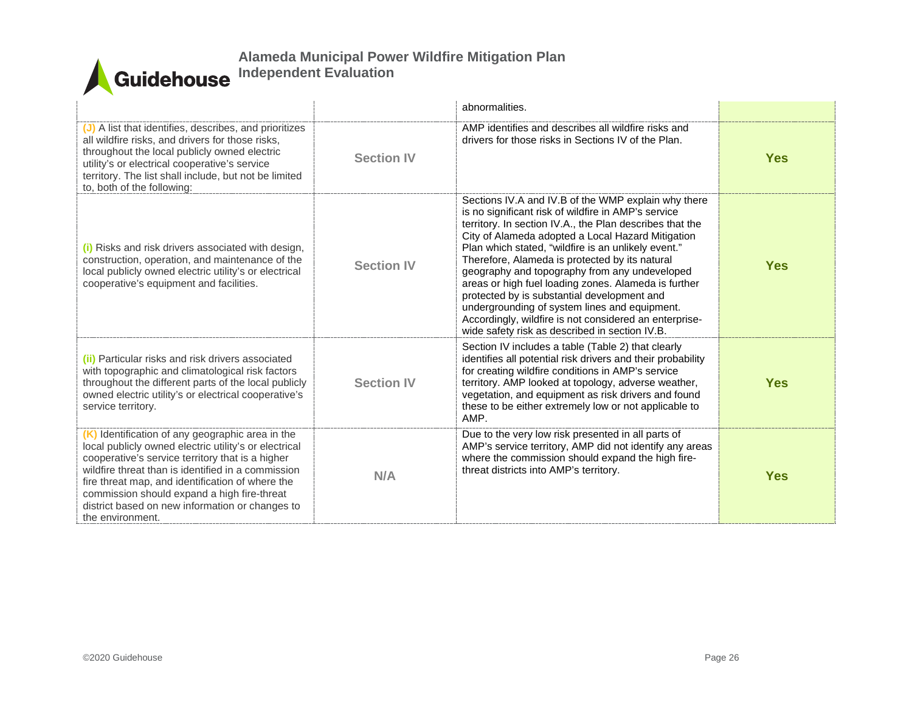|                                                                                                                                                                                                                                                                                                                                                                                               |                   | abnormalities.                                                                                                                                                                                                                                                                                                                                                                                                                                                                                                                                                                                                                                            |            |
|-----------------------------------------------------------------------------------------------------------------------------------------------------------------------------------------------------------------------------------------------------------------------------------------------------------------------------------------------------------------------------------------------|-------------------|-----------------------------------------------------------------------------------------------------------------------------------------------------------------------------------------------------------------------------------------------------------------------------------------------------------------------------------------------------------------------------------------------------------------------------------------------------------------------------------------------------------------------------------------------------------------------------------------------------------------------------------------------------------|------------|
| (J) A list that identifies, describes, and prioritizes<br>all wildfire risks, and drivers for those risks,<br>throughout the local publicly owned electric<br>utility's or electrical cooperative's service<br>territory. The list shall include, but not be limited<br>to, both of the following:                                                                                            | <b>Section IV</b> | AMP identifies and describes all wildfire risks and<br>drivers for those risks in Sections IV of the Plan.                                                                                                                                                                                                                                                                                                                                                                                                                                                                                                                                                | <b>Yes</b> |
| (i) Risks and risk drivers associated with design,<br>construction, operation, and maintenance of the<br>local publicly owned electric utility's or electrical<br>cooperative's equipment and facilities.                                                                                                                                                                                     | <b>Section IV</b> | Sections IV.A and IV.B of the WMP explain why there<br>is no significant risk of wildfire in AMP's service<br>territory. In section IV.A., the Plan describes that the<br>City of Alameda adopted a Local Hazard Mitigation<br>Plan which stated, "wildfire is an unlikely event."<br>Therefore, Alameda is protected by its natural<br>geography and topography from any undeveloped<br>areas or high fuel loading zones. Alameda is further<br>protected by is substantial development and<br>undergrounding of system lines and equipment.<br>Accordingly, wildfire is not considered an enterprise-<br>wide safety risk as described in section IV.B. | <b>Yes</b> |
| (ii) Particular risks and risk drivers associated<br>with topographic and climatological risk factors<br>throughout the different parts of the local publicly<br>owned electric utility's or electrical cooperative's<br>service territory.                                                                                                                                                   | <b>Section IV</b> | Section IV includes a table (Table 2) that clearly<br>identifies all potential risk drivers and their probability<br>for creating wildfire conditions in AMP's service<br>territory. AMP looked at topology, adverse weather,<br>vegetation, and equipment as risk drivers and found<br>these to be either extremely low or not applicable to<br>AMP.                                                                                                                                                                                                                                                                                                     | <b>Yes</b> |
| (K) Identification of any geographic area in the<br>local publicly owned electric utility's or electrical<br>cooperative's service territory that is a higher<br>wildfire threat than is identified in a commission<br>fire threat map, and identification of where the<br>commission should expand a high fire-threat<br>district based on new information or changes to<br>the environment. | N/A               | Due to the very low risk presented in all parts of<br>AMP's service territory, AMP did not identify any areas<br>where the commission should expand the high fire-<br>threat districts into AMP's territory.                                                                                                                                                                                                                                                                                                                                                                                                                                              | <b>Yes</b> |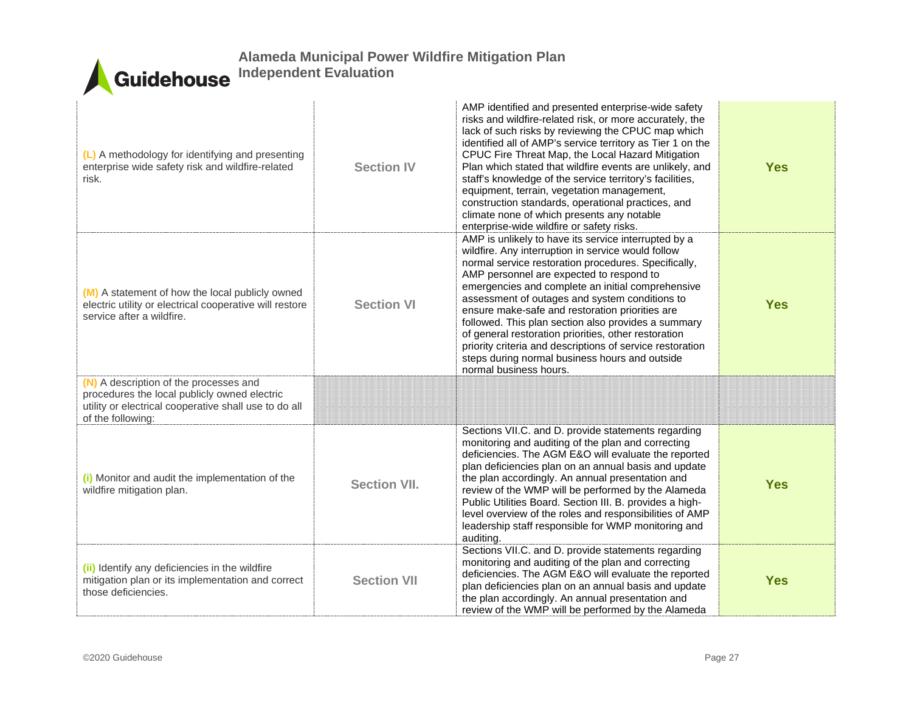| (L) A methodology for identifying and presenting<br>enterprise wide safety risk and wildfire-related<br>risk.                                                        | <b>Section IV</b>   | AMP identified and presented enterprise-wide safety<br>risks and wildfire-related risk, or more accurately, the<br>lack of such risks by reviewing the CPUC map which<br>identified all of AMP's service territory as Tier 1 on the<br>CPUC Fire Threat Map, the Local Hazard Mitigation<br>Plan which stated that wildfire events are unlikely, and<br>staff's knowledge of the service territory's facilities,<br>equipment, terrain, vegetation management,<br>construction standards, operational practices, and<br>climate none of which presents any notable<br>enterprise-wide wildfire or safety risks.                  | <b>Yes</b> |
|----------------------------------------------------------------------------------------------------------------------------------------------------------------------|---------------------|----------------------------------------------------------------------------------------------------------------------------------------------------------------------------------------------------------------------------------------------------------------------------------------------------------------------------------------------------------------------------------------------------------------------------------------------------------------------------------------------------------------------------------------------------------------------------------------------------------------------------------|------------|
| (M) A statement of how the local publicly owned<br>electric utility or electrical cooperative will restore<br>service after a wildfire.                              | <b>Section VI</b>   | AMP is unlikely to have its service interrupted by a<br>wildfire. Any interruption in service would follow<br>normal service restoration procedures. Specifically,<br>AMP personnel are expected to respond to<br>emergencies and complete an initial comprehensive<br>assessment of outages and system conditions to<br>ensure make-safe and restoration priorities are<br>followed. This plan section also provides a summary<br>of general restoration priorities, other restoration<br>priority criteria and descriptions of service restoration<br>steps during normal business hours and outside<br>normal business hours. | <b>Yes</b> |
| (N) A description of the processes and<br>procedures the local publicly owned electric<br>utility or electrical cooperative shall use to do all<br>of the following: |                     |                                                                                                                                                                                                                                                                                                                                                                                                                                                                                                                                                                                                                                  |            |
| (i) Monitor and audit the implementation of the<br>wildfire mitigation plan.                                                                                         | <b>Section VII.</b> | Sections VII.C. and D. provide statements regarding<br>monitoring and auditing of the plan and correcting<br>deficiencies. The AGM E&O will evaluate the reported<br>plan deficiencies plan on an annual basis and update<br>the plan accordingly. An annual presentation and<br>review of the WMP will be performed by the Alameda<br>Public Utilities Board. Section III. B. provides a high-<br>level overview of the roles and responsibilities of AMP<br>leadership staff responsible for WMP monitoring and<br>auditing.                                                                                                   | <b>Yes</b> |
| (ii) Identify any deficiencies in the wildfire<br>mitigation plan or its implementation and correct<br>those deficiencies.                                           | <b>Section VII</b>  | Sections VII.C. and D. provide statements regarding<br>monitoring and auditing of the plan and correcting<br>deficiencies. The AGM E&O will evaluate the reported<br>plan deficiencies plan on an annual basis and update<br>the plan accordingly. An annual presentation and<br>review of the WMP will be performed by the Alameda                                                                                                                                                                                                                                                                                              | <b>Yes</b> |